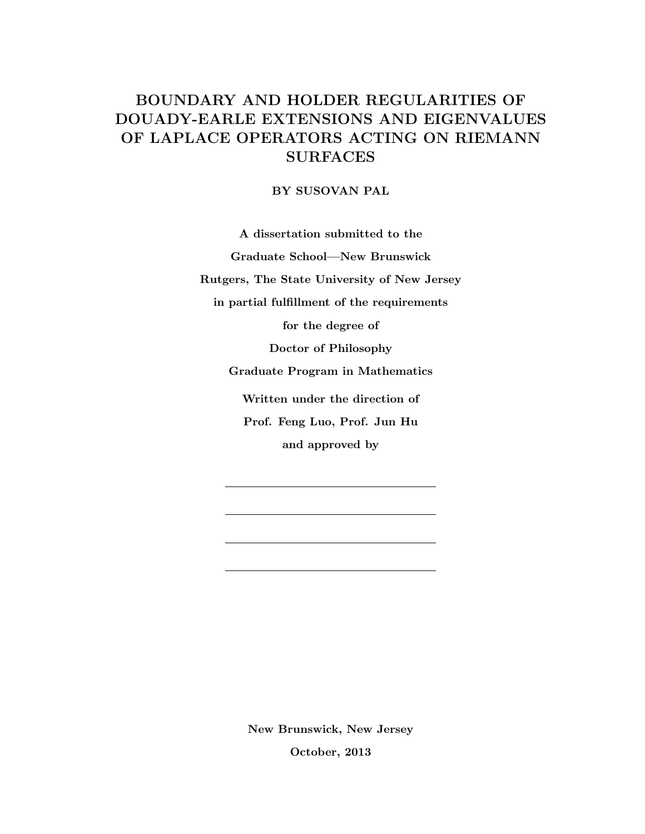## BOUNDARY AND HOLDER REGULARITIES OF DOUADY-EARLE EXTENSIONS AND EIGENVALUES OF LAPLACE OPERATORS ACTING ON RIEMANN SURFACES

BY SUSOVAN PAL

A dissertation submitted to the Graduate School—New Brunswick Rutgers, The State University of New Jersey in partial fulfillment of the requirements for the degree of Doctor of Philosophy Graduate Program in Mathematics Written under the direction of Prof. Feng Luo, Prof. Jun Hu and approved by

> New Brunswick, New Jersey October, 2013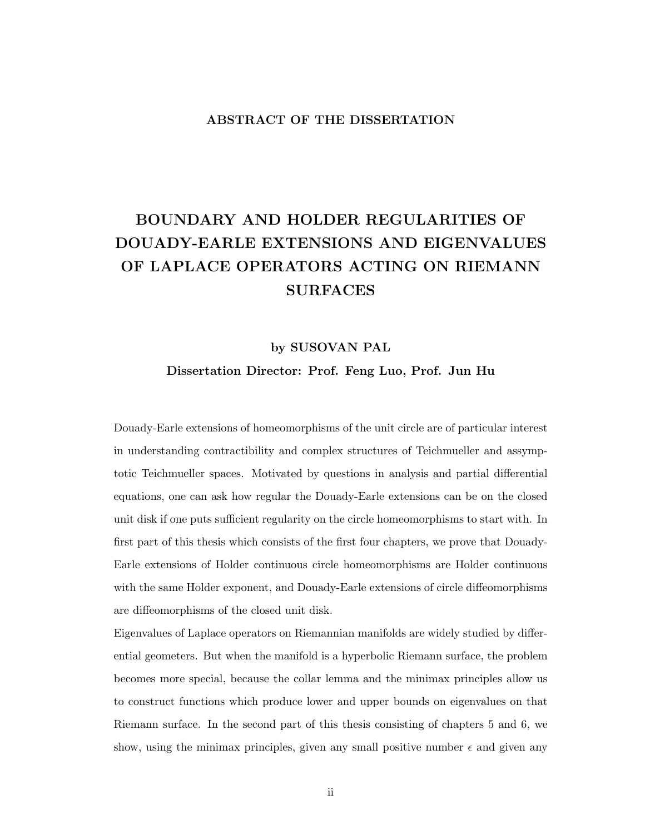#### ABSTRACT OF THE DISSERTATION

# BOUNDARY AND HOLDER REGULARITIES OF DOUADY-EARLE EXTENSIONS AND EIGENVALUES OF LAPLACE OPERATORS ACTING ON RIEMANN SURFACES

#### by SUSOVAN PAL

Dissertation Director: Prof. Feng Luo, Prof. Jun Hu

Douady-Earle extensions of homeomorphisms of the unit circle are of particular interest in understanding contractibility and complex structures of Teichmueller and assymptotic Teichmueller spaces. Motivated by questions in analysis and partial differential equations, one can ask how regular the Douady-Earle extensions can be on the closed unit disk if one puts sufficient regularity on the circle homeomorphisms to start with. In first part of this thesis which consists of the first four chapters, we prove that Douady-Earle extensions of Holder continuous circle homeomorphisms are Holder continuous with the same Holder exponent, and Douady-Earle extensions of circle diffeomorphisms are diffeomorphisms of the closed unit disk.

Eigenvalues of Laplace operators on Riemannian manifolds are widely studied by differential geometers. But when the manifold is a hyperbolic Riemann surface, the problem becomes more special, because the collar lemma and the minimax principles allow us to construct functions which produce lower and upper bounds on eigenvalues on that Riemann surface. In the second part of this thesis consisting of chapters 5 and 6, we show, using the minimax principles, given any small positive number  $\epsilon$  and given any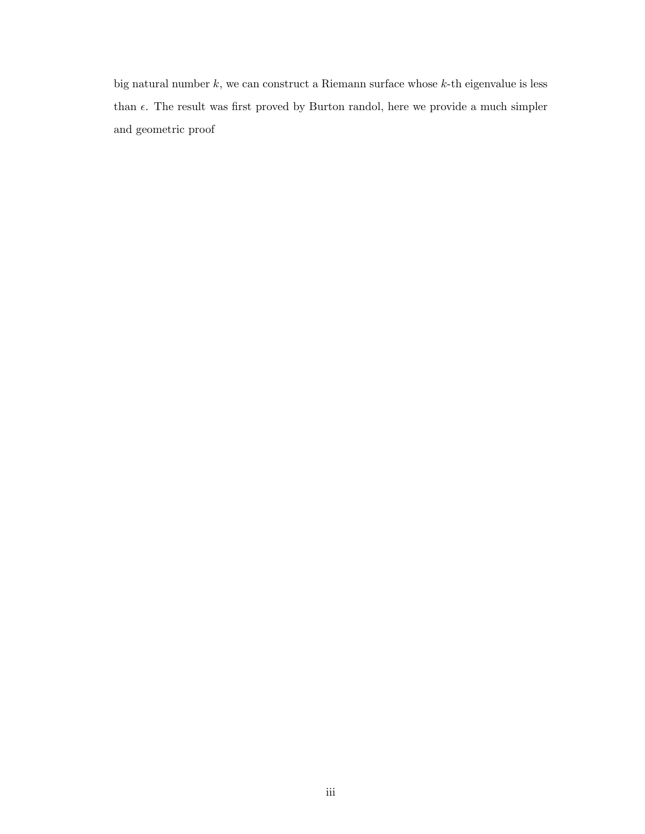big natural number  $k$ , we can construct a Riemann surface whose  $k$ -th eigenvalue is less than  $\epsilon$ . The result was first proved by Burton randol, here we provide a much simpler and geometric proof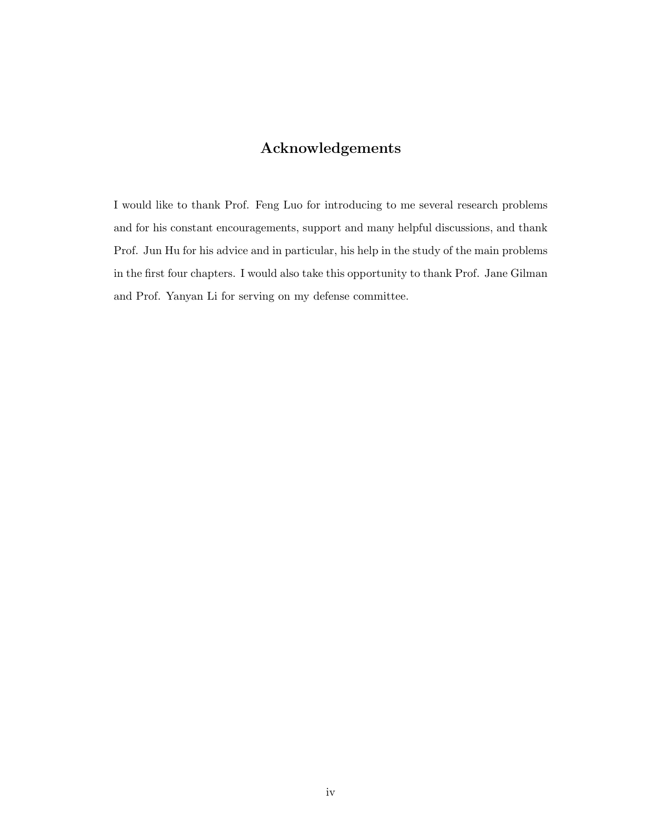## Acknowledgements

I would like to thank Prof. Feng Luo for introducing to me several research problems and for his constant encouragements, support and many helpful discussions, and thank Prof. Jun Hu for his advice and in particular, his help in the study of the main problems in the first four chapters. I would also take this opportunity to thank Prof. Jane Gilman and Prof. Yanyan Li for serving on my defense committee.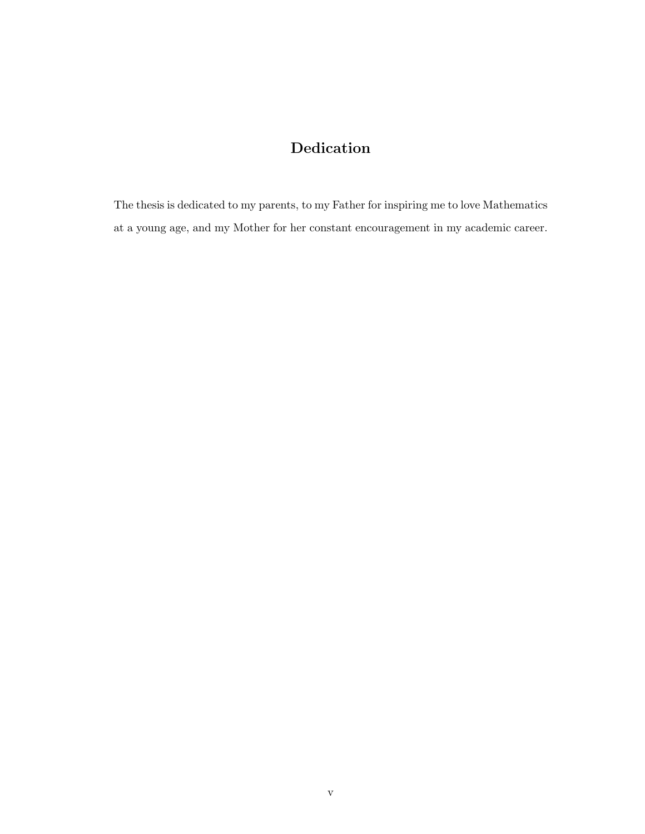## Dedication

The thesis is dedicated to my parents, to my Father for inspiring me to love Mathematics at a young age, and my Mother for her constant encouragement in my academic career.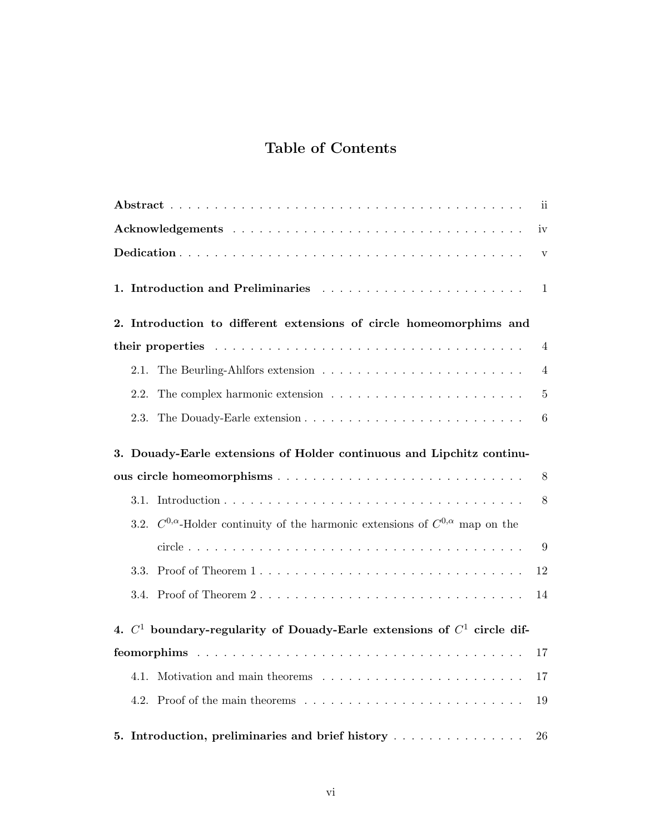## Table of Contents

| $\overline{\text{ii}}$                                                                         |  |  |  |  |  |
|------------------------------------------------------------------------------------------------|--|--|--|--|--|
| iv                                                                                             |  |  |  |  |  |
| $\mathbf{V}$                                                                                   |  |  |  |  |  |
| 1.<br>1                                                                                        |  |  |  |  |  |
| 2. Introduction to different extensions of circle homeomorphims and                            |  |  |  |  |  |
| 4                                                                                              |  |  |  |  |  |
| 2.1.<br>4                                                                                      |  |  |  |  |  |
| 2.2.<br>5                                                                                      |  |  |  |  |  |
| 2.3.<br>6                                                                                      |  |  |  |  |  |
| 3. Douady-Earle extensions of Holder continuous and Lipchitz continu-                          |  |  |  |  |  |
| 8                                                                                              |  |  |  |  |  |
| 8                                                                                              |  |  |  |  |  |
| 3.2. $C^{0,\alpha}$ -Holder continuity of the harmonic extensions of $C^{0,\alpha}$ map on the |  |  |  |  |  |
| 9                                                                                              |  |  |  |  |  |
| 3.3.<br>12                                                                                     |  |  |  |  |  |
| 3.4. Proof of Theorem 2<br>14                                                                  |  |  |  |  |  |
| 4. $C^1$ boundary-regularity of Douady-Earle extensions of $C^1$ circle dif-                   |  |  |  |  |  |
| 17                                                                                             |  |  |  |  |  |
| 17                                                                                             |  |  |  |  |  |
| 19                                                                                             |  |  |  |  |  |
| 5. Introduction, preliminaries and brief history<br>26                                         |  |  |  |  |  |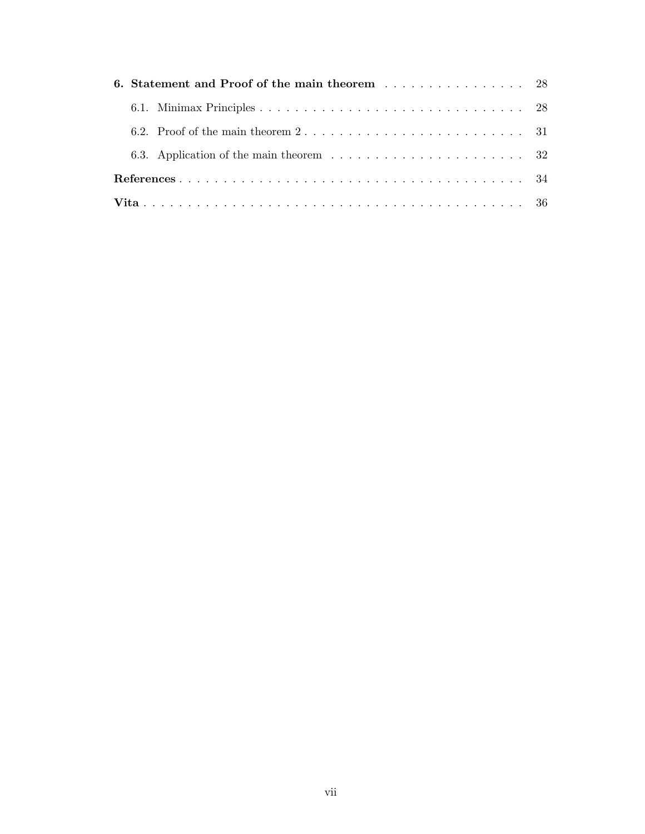|  | 6. Statement and Proof of the main theorem 28 |                                                                                                      |  |  |  |
|--|-----------------------------------------------|------------------------------------------------------------------------------------------------------|--|--|--|
|  |                                               |                                                                                                      |  |  |  |
|  |                                               | 6.2. Proof of the main theorem $2 \ldots \ldots \ldots \ldots \ldots \ldots \ldots \ldots \ldots 31$ |  |  |  |
|  |                                               | 6.3. Application of the main theorem $\ldots \ldots \ldots \ldots \ldots \ldots \ldots \ldots$ 32    |  |  |  |
|  |                                               |                                                                                                      |  |  |  |
|  |                                               |                                                                                                      |  |  |  |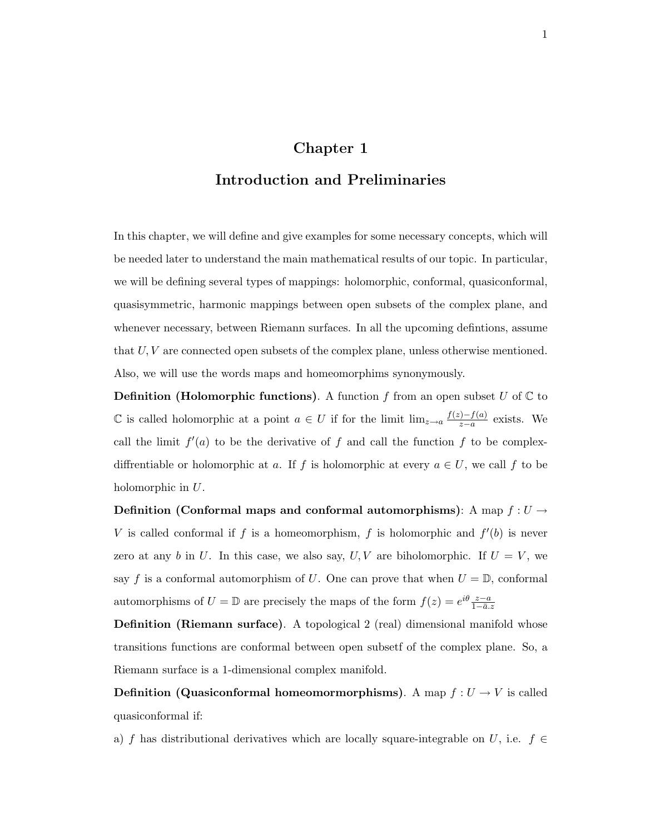## Chapter 1

## Introduction and Preliminaries

In this chapter, we will define and give examples for some necessary concepts, which will be needed later to understand the main mathematical results of our topic. In particular, we will be defining several types of mappings: holomorphic, conformal, quasiconformal, quasisymmetric, harmonic mappings between open subsets of the complex plane, and whenever necessary, between Riemann surfaces. In all the upcoming defintions, assume that  $U, V$  are connected open subsets of the complex plane, unless otherwise mentioned. Also, we will use the words maps and homeomorphims synonymously.

**Definition (Holomorphic functions).** A function f from an open subset U of  $\mathbb C$  to C is called holomorphic at a point  $a \in U$  if for the limit  $\lim_{z\to a} \frac{f(z)-f(a)}{z-a}$  $\frac{f(-f(a))}{z-a}$  exists. We call the limit  $f'(a)$  to be the derivative of f and call the function f to be complexdiffrentiable or holomorphic at a. If f is holomorphic at every  $a \in U$ , we call f to be holomorphic in U.

Definition (Conformal maps and conformal automorphisms): A map  $f: U \rightarrow$ V is called conformal if f is a homeomorphism, f is holomorphic and  $f'(b)$  is never zero at any b in U. In this case, we also say,  $U, V$  are biholomorphic. If  $U = V$ , we say f is a conformal automorphism of U. One can prove that when  $U = \mathbb{D}$ , conformal automorphisms of  $U = \mathbb{D}$  are precisely the maps of the form  $f(z) = e^{i\theta} \frac{z-a}{1-\bar{a}z}$ 

Definition (Riemann surface). A topological 2 (real) dimensional manifold whose transitions functions are conformal between open subsetf of the complex plane. So, a Riemann surface is a 1-dimensional complex manifold.

**Definition (Quasiconformal homeomormorphisms).** A map  $f: U \to V$  is called quasiconformal if:

a) f has distributional derivatives which are locally square-integrable on U, i.e.  $f \in$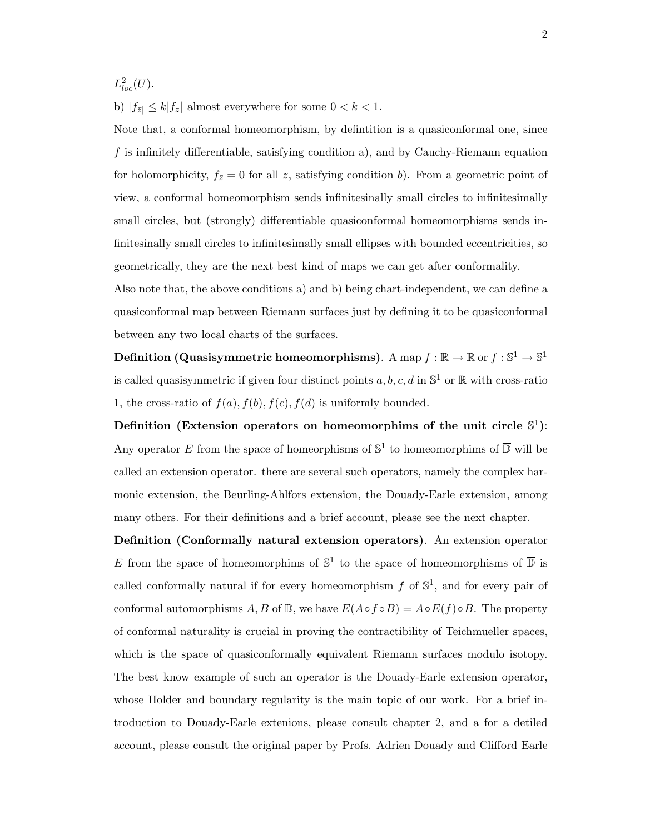$L^2_{loc}(U)$ .

b)  $|f_{\bar{z}}| \leq k |f_z|$  almost everywhere for some  $0 < k < 1$ .

Note that, a conformal homeomorphism, by defintition is a quasiconformal one, since f is infinitely differentiable, satisfying condition a), and by Cauchy-Riemann equation for holomorphicity,  $f_{\bar{z}}=0$  for all z, satisfying condition b). From a geometric point of view, a conformal homeomorphism sends infinitesinally small circles to infinitesimally small circles, but (strongly) differentiable quasiconformal homeomorphisms sends infinitesinally small circles to infinitesimally small ellipses with bounded eccentricities, so geometrically, they are the next best kind of maps we can get after conformality.

Also note that, the above conditions a) and b) being chart-independent, we can define a quasiconformal map between Riemann surfaces just by defining it to be quasiconformal between any two local charts of the surfaces.

Definition (Quasisymmetric homeomorphisms). A  $\text{map } f : \mathbb{R} \to \mathbb{R} \text{ or } f : \mathbb{S}^1 \to \mathbb{S}^1$ is called quasisymmetric if given four distinct points  $a, b, c, d$  in  $\mathbb{S}^1$  or  $\mathbb R$  with cross-ratio 1, the cross-ratio of  $f(a)$ ,  $f(b)$ ,  $f(c)$ ,  $f(d)$  is uniformly bounded.

Definition (Extension operators on homeomorphims of the unit circle  $\mathbb{S}^1$ ): Any operator E from the space of homeorphisms of  $\mathbb{S}^1$  to homeomorphims of  $\overline{\mathbb{D}}$  will be called an extension operator. there are several such operators, namely the complex harmonic extension, the Beurling-Ahlfors extension, the Douady-Earle extension, among many others. For their definitions and a brief account, please see the next chapter.

Definition (Conformally natural extension operators). An extension operator E from the space of homeomorphims of  $\mathbb{S}^1$  to the space of homeomorphisms of  $\overline{\mathbb{D}}$  is called conformally natural if for every homeomorphism  $f$  of  $\mathbb{S}^1$ , and for every pair of conformal automorphisms A, B of D, we have  $E(A \circ f \circ B) = A \circ E(f) \circ B$ . The property of conformal naturality is crucial in proving the contractibility of Teichmueller spaces, which is the space of quasiconformally equivalent Riemann surfaces modulo isotopy. The best know example of such an operator is the Douady-Earle extension operator, whose Holder and boundary regularity is the main topic of our work. For a brief introduction to Douady-Earle extenions, please consult chapter 2, and a for a detiled account, please consult the original paper by Profs. Adrien Douady and Clifford Earle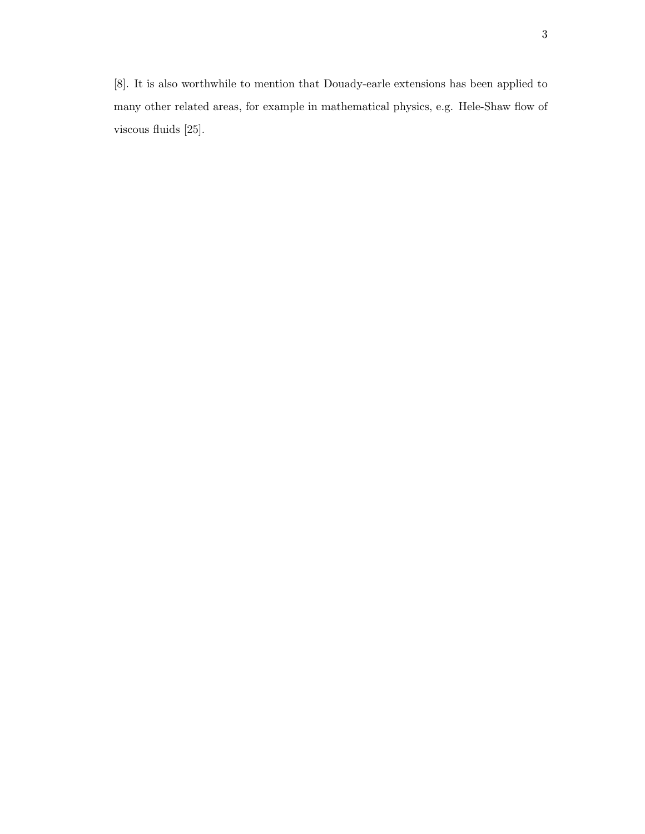[8]. It is also worthwhile to mention that Douady-earle extensions has been applied to many other related areas, for example in mathematical physics, e.g. Hele-Shaw flow of viscous fluids [25].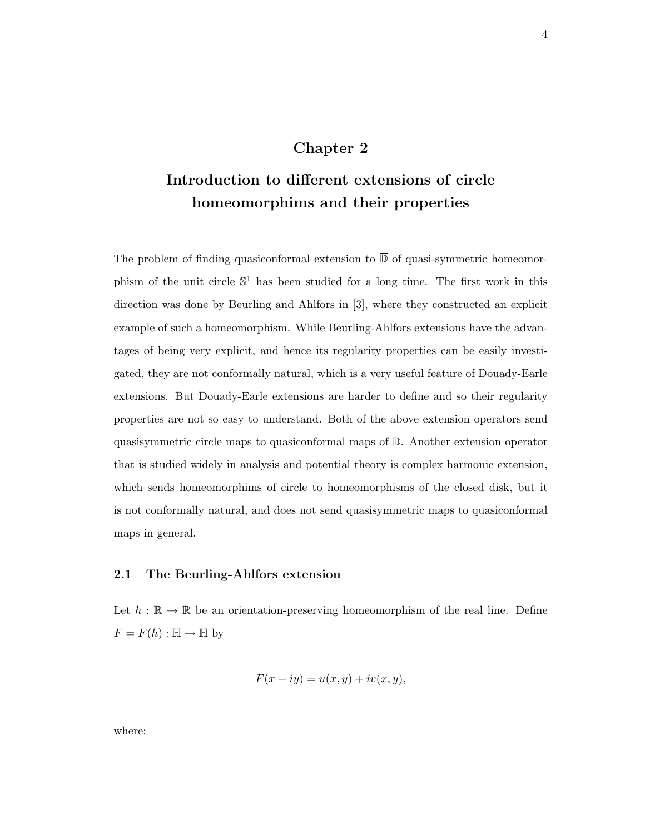## Chapter 2

# Introduction to different extensions of circle homeomorphims and their properties

The problem of finding quasiconformal extension to  $\overline{D}$  of quasi-symmetric homeomorphism of the unit circle  $\mathbb{S}^1$  has been studied for a long time. The first work in this direction was done by Beurling and Ahlfors in [3], where they constructed an explicit example of such a homeomorphism. While Beurling-Ahlfors extensions have the advantages of being very explicit, and hence its regularity properties can be easily investigated, they are not conformally natural, which is a very useful feature of Douady-Earle extensions. But Douady-Earle extensions are harder to define and so their regularity properties are not so easy to understand. Both of the above extension operators send quasisymmetric circle maps to quasiconformal maps of D. Another extension operator that is studied widely in analysis and potential theory is complex harmonic extension, which sends homeomorphims of circle to homeomorphisms of the closed disk, but it is not conformally natural, and does not send quasisymmetric maps to quasiconformal maps in general.

#### 2.1 The Beurling-Ahlfors extension

Let  $h : \mathbb{R} \to \mathbb{R}$  be an orientation-preserving homeomorphism of the real line. Define  $F = F(h) : \mathbb{H} \to \mathbb{H}$  by

$$
F(x+iy) = u(x,y) + iv(x,y),
$$

where: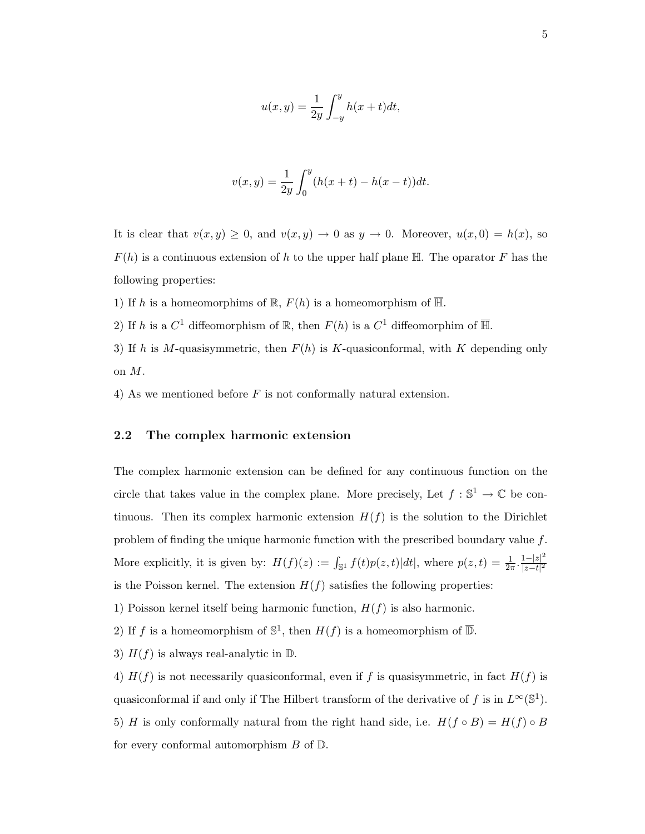$$
u(x,y) = \frac{1}{2y} \int_{-y}^{y} h(x+t)dt,
$$

$$
v(x,y) = \frac{1}{2y} \int_0^y (h(x+t) - h(x-t))dt.
$$

It is clear that  $v(x, y) \geq 0$ , and  $v(x, y) \to 0$  as  $y \to 0$ . Moreover,  $u(x, 0) = h(x)$ , so  $F(h)$  is a continuous extension of h to the upper half plane  $\mathbb{H}$ . The oparator F has the following properties:

1) If h is a homeomorphims of  $\mathbb{R}, F(h)$  is a homeomorphism of  $\overline{\mathbb{H}}$ .

2) If h is a  $C^1$  diffeomorphism of  $\mathbb R$ , then  $F(h)$  is a  $C^1$  diffeomorphim of  $\overline{\mathbb H}$ .

3) If h is M-quasisymmetric, then  $F(h)$  is K-quasiconformal, with K depending only on M.

4) As we mentioned before  $F$  is not conformally natural extension.

#### 2.2 The complex harmonic extension

The complex harmonic extension can be defined for any continuous function on the circle that takes value in the complex plane. More precisely, Let  $f : \mathbb{S}^1 \to \mathbb{C}$  be continuous. Then its complex harmonic extension  $H(f)$  is the solution to the Dirichlet problem of finding the unique harmonic function with the prescribed boundary value  $f$ . More explicitly, it is given by:  $H(f)(z) := \int_{\mathbb{S}^1} f(t)p(z,t)|dt|$ , where  $p(z,t) = \frac{1}{2\pi} \cdot \frac{1-|z|^2}{|z-t|^2}$  $|z-t|^2$ is the Poisson kernel. The extension  $H(f)$  satisfies the following properties:

1) Poisson kernel itself being harmonic function,  $H(f)$  is also harmonic.

2) If f is a homeomorphism of  $\mathbb{S}^1$ , then  $H(f)$  is a homeomorphism of  $\overline{\mathbb{D}}$ .

3)  $H(f)$  is always real-analytic in  $\mathbb{D}$ .

4)  $H(f)$  is not necessarily quasiconformal, even if f is quasisymmetric, in fact  $H(f)$  is quasiconformal if and only if The Hilbert transform of the derivative of f is in  $L^{\infty}(\mathbb{S}^{1})$ . 5) H is only conformally natural from the right hand side, i.e.  $H(f \circ B) = H(f) \circ B$ for every conformal automorphism  $B$  of  $D$ .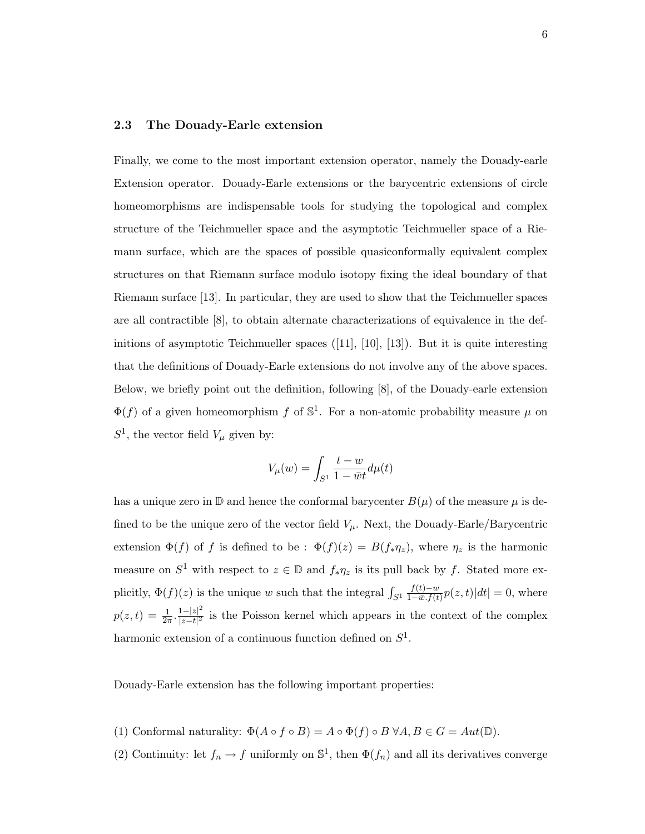#### 2.3 The Douady-Earle extension

Finally, we come to the most important extension operator, namely the Douady-earle Extension operator. Douady-Earle extensions or the barycentric extensions of circle homeomorphisms are indispensable tools for studying the topological and complex structure of the Teichmueller space and the asymptotic Teichmueller space of a Riemann surface, which are the spaces of possible quasiconformally equivalent complex structures on that Riemann surface modulo isotopy fixing the ideal boundary of that Riemann surface [13]. In particular, they are used to show that the Teichmueller spaces are all contractible [8], to obtain alternate characterizations of equivalence in the definitions of asymptotic Teichmueller spaces ([11], [10], [13]). But it is quite interesting that the definitions of Douady-Earle extensions do not involve any of the above spaces. Below, we briefly point out the definition, following [8], of the Douady-earle extension  $\Phi(f)$  of a given homeomorphism f of  $\mathbb{S}^1$ . For a non-atomic probability measure  $\mu$  on  $S^1$ , the vector field  $V_\mu$  given by:

$$
V_\mu(w)=\int_{S^1}\frac{t-w}{1-\bar{w}t}d\mu(t)
$$

has a unique zero in  $\mathbb D$  and hence the conformal barycenter  $B(\mu)$  of the measure  $\mu$  is defined to be the unique zero of the vector field  $V_\mu$ . Next, the Douady-Earle/Barycentric extension  $\Phi(f)$  of f is defined to be :  $\Phi(f)(z) = B(f_* \eta_z)$ , where  $\eta_z$  is the harmonic measure on  $S^1$  with respect to  $z \in \mathbb{D}$  and  $f_*\eta_z$  is its pull back by f. Stated more explicitly,  $\Phi(f)(z)$  is the unique w such that the integral  $\int_{S^1}$  $f(t)-w$  $\frac{f(t)-w}{1-w.f(t)}p(z,t)|dt|=0$ , where  $p(z,t) = \frac{1}{2\pi} \cdot \frac{1-|z|^2}{|z-t|^2}$  $\frac{1-|z|^2}{|z-t|^2}$  is the Poisson kernel which appears in the context of the complex harmonic extension of a continuous function defined on  $S<sup>1</sup>$ .

Douady-Earle extension has the following important properties:

- (1) Conformal naturality:  $\Phi(A \circ f \circ B) = A \circ \Phi(f) \circ B \ \forall A, B \in G = Aut(\mathbb{D}).$
- (2) Continuity: let  $f_n \to f$  uniformly on  $\mathbb{S}^1$ , then  $\Phi(f_n)$  and all its derivatives converge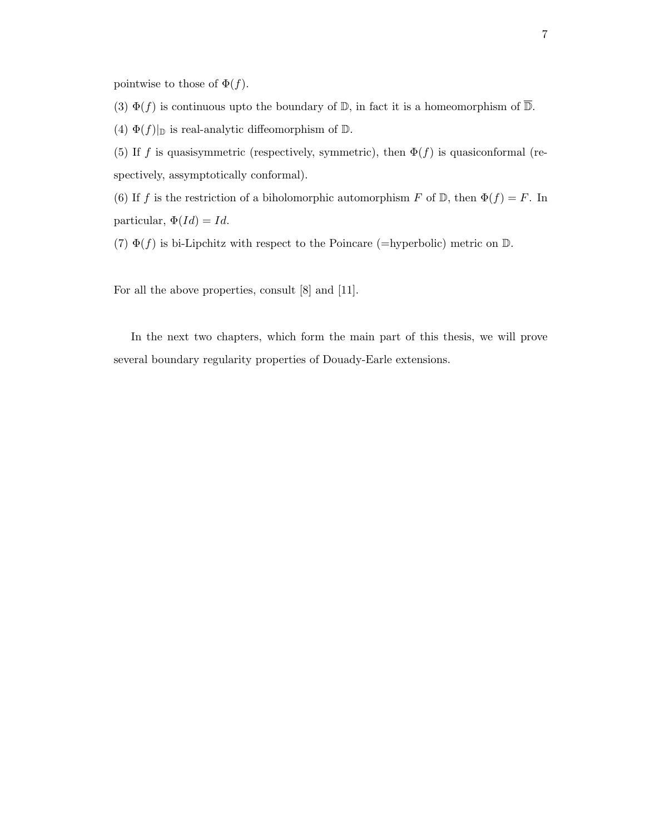pointwise to those of  $\Phi(f)$ .

(3)  $\Phi(f)$  is continuous upto the boundary of D, in fact it is a homeomorphism of  $\overline{\mathbb{D}}$ .

(4)  $\Phi(f)|_{\mathbb{D}}$  is real-analytic diffeomorphism of  $\mathbb{D}$ .

(5) If f is quasisymmetric (respectively, symmetric), then  $\Phi(f)$  is quasiconformal (respectively, assymptotically conformal).

(6) If f is the restriction of a biholomorphic automorphism F of  $\mathbb{D}$ , then  $\Phi(f) = F$ . In particular,  $\Phi(Id) = Id.$ 

(7)  $\Phi(f)$  is bi-Lipchitz with respect to the Poincare (=hyperbolic) metric on D.

For all the above properties, consult [8] and [11].

In the next two chapters, which form the main part of this thesis, we will prove several boundary regularity properties of Douady-Earle extensions.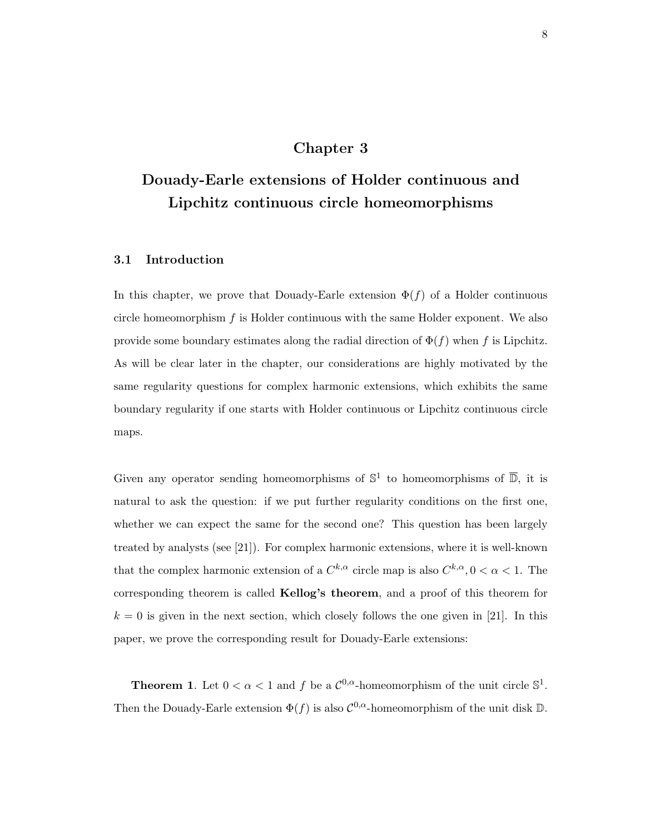## Chapter 3

# Douady-Earle extensions of Holder continuous and Lipchitz continuous circle homeomorphisms

#### 3.1 Introduction

In this chapter, we prove that Douady-Earle extension  $\Phi(f)$  of a Holder continuous circle homeomorphism  $f$  is Holder continuous with the same Holder exponent. We also provide some boundary estimates along the radial direction of  $\Phi(f)$  when f is Lipchitz. As will be clear later in the chapter, our considerations are highly motivated by the same regularity questions for complex harmonic extensions, which exhibits the same boundary regularity if one starts with Holder continuous or Lipchitz continuous circle maps.

Given any operator sending homeomorphisms of  $\mathbb{S}^1$  to homeomorphisms of  $\overline{\mathbb{D}}$ , it is natural to ask the question: if we put further regularity conditions on the first one, whether we can expect the same for the second one? This question has been largely treated by analysts (see [21]). For complex harmonic extensions, where it is well-known that the complex harmonic extension of a  $C^{k,\alpha}$  circle map is also  $C^{k,\alpha}, 0 < \alpha < 1$ . The corresponding theorem is called Kellog's theorem, and a proof of this theorem for  $k = 0$  is given in the next section, which closely follows the one given in [21]. In this paper, we prove the corresponding result for Douady-Earle extensions:

**Theorem 1.** Let  $0 < \alpha < 1$  and f be a  $\mathcal{C}^{0,\alpha}$ -homeomorphism of the unit circle  $\mathbb{S}^1$ . Then the Douady-Earle extension  $\Phi(f)$  is also  $\mathcal{C}^{0,\alpha}$ -homeomorphism of the unit disk D.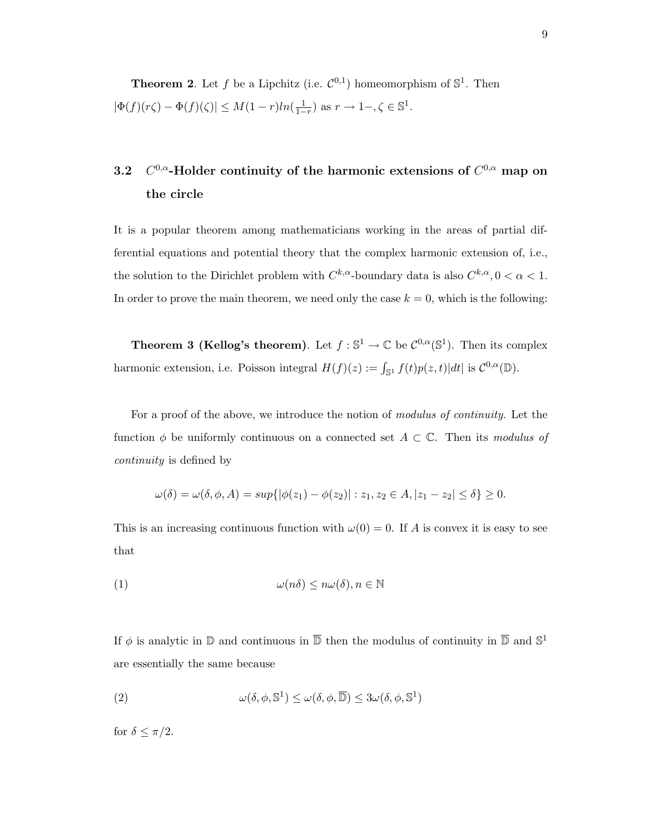**Theorem 2.** Let f be a Lipchitz (i.e.  $\mathcal{C}^{0,1}$ ) homeomorphism of  $\mathbb{S}^1$ . Then  $|\Phi(f)(r\zeta) - \Phi(f)(\zeta)| \leq M(1-r)ln(\frac{1}{1-r})$  as  $r \to 1-\zeta \in \mathbb{S}^1$ .

#### 3.2 C <sup>0,α</sup>-Holder continuity of the harmonic extensions of  $C^{0,\alpha}$  map on the circle

It is a popular theorem among mathematicians working in the areas of partial differential equations and potential theory that the complex harmonic extension of, i.e., the solution to the Dirichlet problem with  $C^{k,\alpha}$ -boundary data is also  $C^{k,\alpha}, 0 < \alpha < 1$ . In order to prove the main theorem, we need only the case  $k = 0$ , which is the following:

**Theorem 3 (Kellog's theorem)**. Let  $f : \mathbb{S}^1 \to \mathbb{C}$  be  $\mathcal{C}^{0,\alpha}(\mathbb{S}^1)$ . Then its complex harmonic extension, i.e. Poisson integral  $H(f)(z) := \int_{\mathbb{S}^1} f(t)p(z,t)|dt|$  is  $\mathcal{C}^{0,\alpha}(\mathbb{D})$ .

For a proof of the above, we introduce the notion of modulus of continuity. Let the function  $\phi$  be uniformly continuous on a connected set  $A \subset \mathbb{C}$ . Then its modulus of continuity is defined by

$$
\omega(\delta) = \omega(\delta, \phi, A) = \sup\{|\phi(z_1) - \phi(z_2)| : z_1, z_2 \in A, |z_1 - z_2| \le \delta\} \ge 0.
$$

This is an increasing continuous function with  $\omega(0) = 0$ . If A is convex it is easy to see that

$$
\omega(n\delta) \le n\omega(\delta), n \in \mathbb{N}
$$

If  $\phi$  is analytic in  $\mathbb D$  and continuous in  $\overline{\mathbb D}$  then the modulus of continuity in  $\overline{\mathbb D}$  and  $\mathbb S^1$ are essentially the same because

(2) 
$$
\omega(\delta, \phi, \mathbb{S}^1) \leq \omega(\delta, \phi, \overline{\mathbb{D}}) \leq 3\omega(\delta, \phi, \mathbb{S}^1)
$$

for  $\delta \leq \pi/2$ .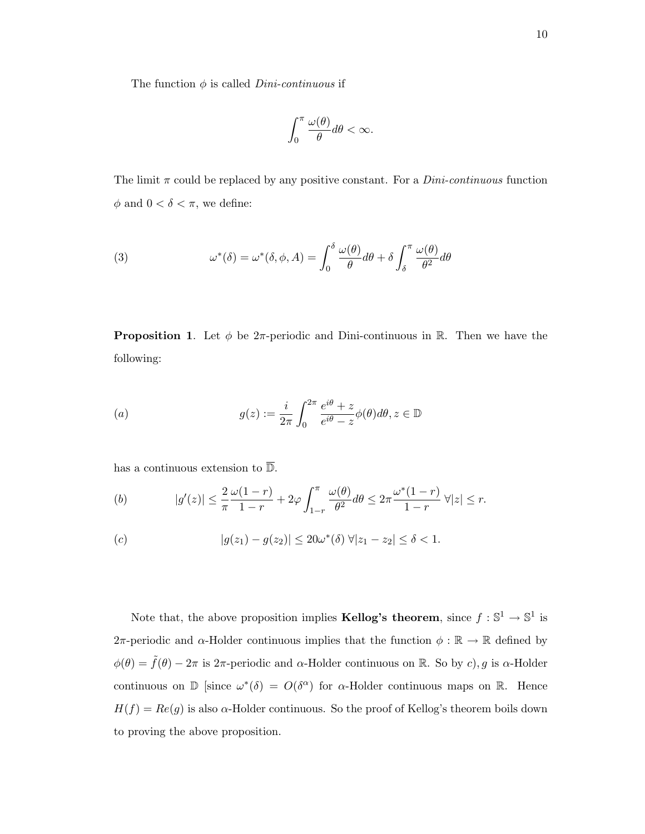The function  $\phi$  is called *Dini-continuous* if

$$
\int_0^\pi \frac{\omega(\theta)}{\theta} d\theta < \infty.
$$

The limit  $\pi$  could be replaced by any positive constant. For a *Dini-continuous* function  $\phi$  and  $0 < \delta < \pi$ , we define:

(3) 
$$
\omega^*(\delta) = \omega^*(\delta, \phi, A) = \int_0^{\delta} \frac{\omega(\theta)}{\theta} d\theta + \delta \int_{\delta}^{\pi} \frac{\omega(\theta)}{\theta^2} d\theta
$$

**Proposition 1.** Let  $\phi$  be 2 $\pi$ -periodic and Dini-continuous in R. Then we have the following:

(a) 
$$
g(z) := \frac{i}{2\pi} \int_0^{2\pi} \frac{e^{i\theta} + z}{e^{i\theta} - z} \phi(\theta) d\theta, z \in \mathbb{D}
$$

has a continuous extension to  $\overline{\mathbb{D}}$ .

(b) 
$$
|g'(z)| \leq \frac{2}{\pi} \frac{\omega(1-r)}{1-r} + 2\varphi \int_{1-r}^{\pi} \frac{\omega(\theta)}{\theta^2} d\theta \leq 2\pi \frac{\omega^*(1-r)}{1-r} \ \forall |z| \leq r.
$$

(c) 
$$
|g(z_1) - g(z_2)| \le 20\omega^*(\delta) \forall |z_1 - z_2| \le \delta < 1.
$$

Note that, the above proposition implies **Kellog's theorem**, since  $f : \mathbb{S}^1 \to \mathbb{S}^1$  is 2π-periodic and  $\alpha$ -Holder continuous implies that the function  $\phi : \mathbb{R} \to \mathbb{R}$  defined by  $\phi(\theta) = \tilde{f}(\theta) - 2\pi$  is 2 $\pi$ -periodic and  $\alpha$ -Holder continuous on R. So by c), g is  $\alpha$ -Holder continuous on  $\mathbb D$  [since  $\omega^*(\delta) = O(\delta^{\alpha})$  for  $\alpha$ -Holder continuous maps on R. Hence  $H(f) = Re(g)$  is also  $\alpha$ -Holder continuous. So the proof of Kellog's theorem boils down to proving the above proposition.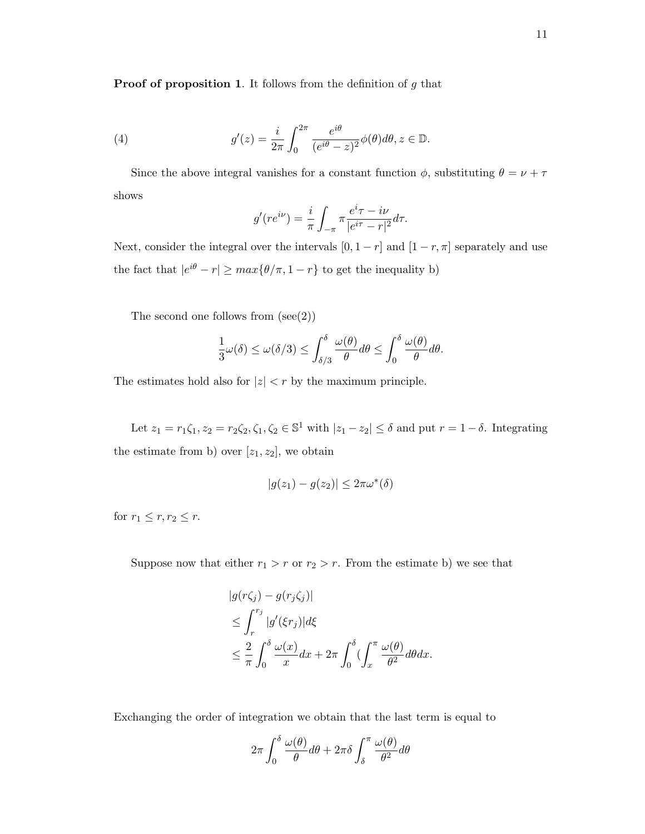**Proof of proposition 1.** It follows from the definition of  $g$  that

(4) 
$$
g'(z) = \frac{i}{2\pi} \int_0^{2\pi} \frac{e^{i\theta}}{(e^{i\theta} - z)^2} \phi(\theta) d\theta, z \in \mathbb{D}.
$$

Since the above integral vanishes for a constant function  $\phi$ , substituting  $\theta = \nu + \tau$ shows

$$
g'(re^{i\nu}) = \frac{i}{\pi} \int_{-\pi}^{\pi} \frac{e^{i\tau} - i\nu}{|e^{i\tau} - r|^2} d\tau.
$$

Next, consider the integral over the intervals  $[0, 1 - r]$  and  $[1 - r, \pi]$  separately and use the fact that  $|e^{i\theta} - r| \ge \max{\lbrace \theta/\pi, 1-r \rbrace}$  to get the inequality b)

The second one follows from  $(\text{see}(2))$ 

$$
\frac{1}{3}\omega(\delta) \le \omega(\delta/3) \le \int_{\delta/3}^{\delta} \frac{\omega(\theta)}{\theta} d\theta \le \int_0^{\delta} \frac{\omega(\theta)}{\theta} d\theta.
$$

The estimates hold also for  $|z| < r$  by the maximum principle.

Let  $z_1 = r_1 \zeta_1$ ,  $z_2 = r_2 \zeta_2$ ,  $\zeta_1$ ,  $\zeta_2 \in \mathbb{S}^1$  with  $|z_1 - z_2| \le \delta$  and put  $r = 1 - \delta$ . Integrating the estimate from b) over  $[z_1, z_2]$ , we obtain

$$
|g(z_1) - g(z_2)| \leq 2\pi\omega^*(\delta)
$$

for  $r_1 \leq r, r_2 \leq r$ .

Suppose now that either  $r_1 > r$  or  $r_2 > r$ . From the estimate b) we see that

$$
|g(r\zeta_j) - g(r_j\zeta_j)|
$$
  
\n
$$
\leq \int_r^{r_j} |g'(\xi r_j)| d\xi
$$
  
\n
$$
\leq \frac{2}{\pi} \int_0^{\delta} \frac{\omega(x)}{x} dx + 2\pi \int_0^{\delta} \left(\int_x^{\pi} \frac{\omega(\theta)}{\theta^2} d\theta dx\right).
$$

Exchanging the order of integration we obtain that the last term is equal to

$$
2\pi \int_0^\delta \frac{\omega(\theta)}{\theta} d\theta + 2\pi \delta \int_\delta^\pi \frac{\omega(\theta)}{\theta^2} d\theta
$$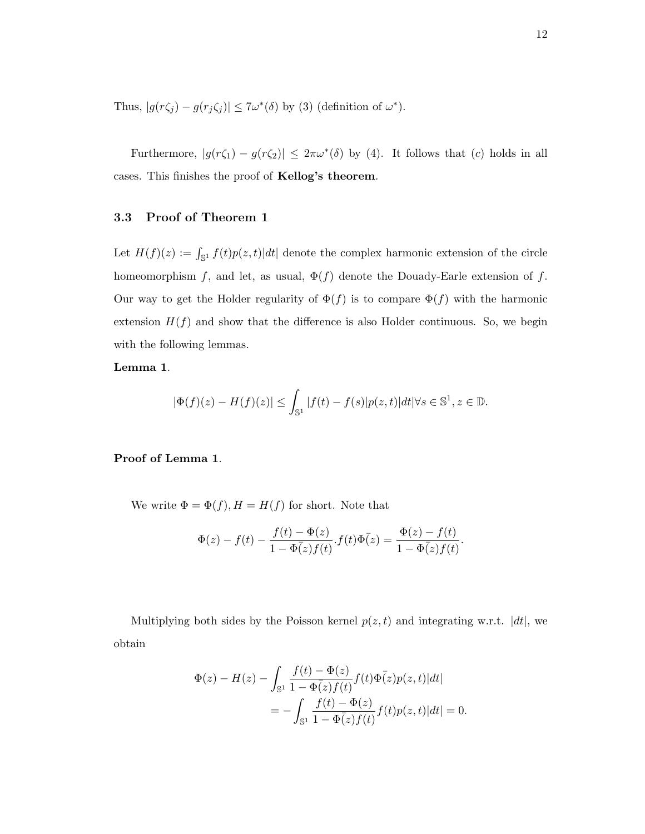Thus,  $|g(r\zeta_j) - g(r_j\zeta_j)| \leq 7\omega^*(\delta)$  by (3) (definition of  $\omega^*$ ).

Furthermore,  $|g(r\zeta_1) - g(r\zeta_2)| \leq 2\pi\omega^*(\delta)$  by (4). It follows that (c) holds in all cases. This finishes the proof of Kellog's theorem.

#### 3.3 Proof of Theorem 1

Let  $H(f)(z) := \int_{\mathbb{S}^1} f(t)p(z,t)|dt|$  denote the complex harmonic extension of the circle homeomorphism f, and let, as usual,  $\Phi(f)$  denote the Douady-Earle extension of f. Our way to get the Holder regularity of  $\Phi(f)$  is to compare  $\Phi(f)$  with the harmonic extension  $H(f)$  and show that the difference is also Holder continuous. So, we begin with the following lemmas.

#### Lemma 1.

$$
|\Phi(f)(z) - H(f)(z)| \le \int_{\mathbb{S}^1} |f(t) - f(s)| p(z, t) | dt | \forall s \in \mathbb{S}^1, z \in \mathbb{D}.
$$

#### Proof of Lemma 1.

We write  $\Phi = \Phi(f), H = H(f)$  for short. Note that

$$
\Phi(z) - f(t) - \frac{f(t) - \Phi(z)}{1 - \Phi(z)f(t)} \cdot f(t)\Phi(z) = \frac{\Phi(z) - f(t)}{1 - \Phi(z)f(t)}.
$$

Multiplying both sides by the Poisson kernel  $p(z, t)$  and integrating w.r.t.  $|dt|$ , we obtain

$$
\Phi(z) - H(z) - \int_{\mathbb{S}^1} \frac{f(t) - \Phi(z)}{1 - \Phi(z)f(t)} f(t) \Phi(z) p(z, t) |dt|
$$
  
= 
$$
- \int_{\mathbb{S}^1} \frac{f(t) - \Phi(z)}{1 - \Phi(z)f(t)} f(t) p(z, t) |dt| = 0.
$$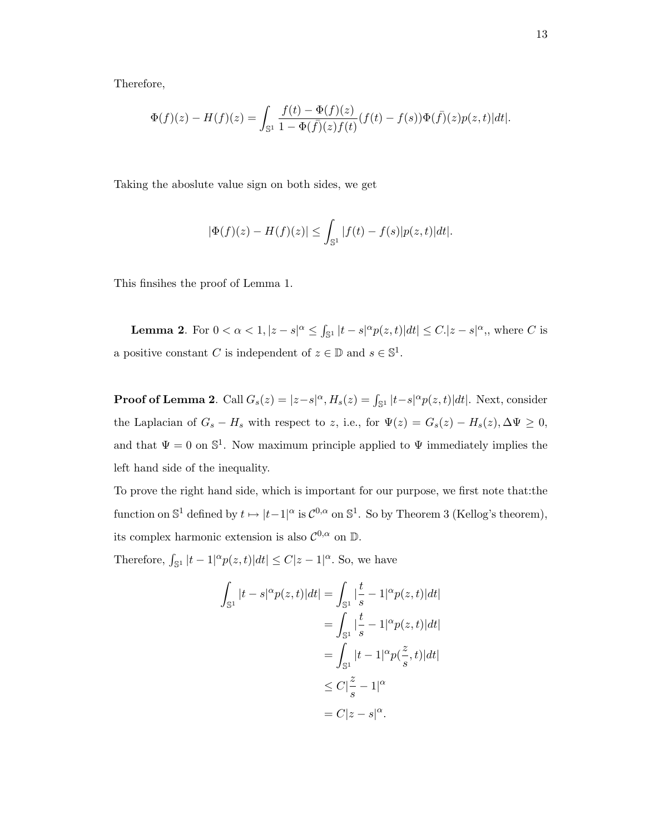Therefore,

$$
\Phi(f)(z) - H(f)(z) = \int_{\mathbb{S}^1} \frac{f(t) - \Phi(f)(z)}{1 - \Phi(f)}(z) f(t) - f(s)) \Phi(f)(z) p(z, t) |dt|.
$$

Taking the aboslute value sign on both sides, we get

$$
|\Phi(f)(z) - H(f)(z)| \le \int_{\mathbb{S}^1} |f(t) - f(s)| p(z, t) | dt|.
$$

This finsihes the proof of Lemma 1.

**Lemma 2.** For  $0 < \alpha < 1, |z - s|^{\alpha} \leq \int_{\mathbb{S}^1} |t - s|^{\alpha} p(z, t)| dt | \leq C. |z - s|^{\alpha}$ , where C is a positive constant C is independent of  $z \in \mathbb{D}$  and  $s \in \mathbb{S}^1$ .

**Proof of Lemma 2**. Call  $G_s(z) = |z-s|^\alpha$ ,  $H_s(z) = \int_{\mathbb{S}^1} |t-s|^\alpha p(z,t)|dt$ . Next, consider the Laplacian of  $G_s - H_s$  with respect to z, i.e., for  $\Psi(z) = G_s(z) - H_s(z), \Delta \Psi \ge 0$ , and that  $\Psi = 0$  on  $\mathbb{S}^1$ . Now maximum principle applied to  $\Psi$  immediately implies the left hand side of the inequality.

To prove the right hand side, which is important for our purpose, we first note that:the function on  $\mathbb{S}^1$  defined by  $t \mapsto |t-1|^\alpha$  is  $\mathcal{C}^{0,\alpha}$  on  $\mathbb{S}^1$ . So by Theorem 3 (Kellog's theorem), its complex harmonic extension is also  $\mathcal{C}^{0,\alpha}$  on  $\mathbb{D}$ .

Therefore,  $\int_{\mathbb{S}^1} |t-1|^\alpha p(z,t)|dt| \leq C|z-1|^\alpha$ . So, we have

$$
\int_{\mathbb{S}^1} |t - s|^{\alpha} p(z, t)| dt = \int_{\mathbb{S}^1} \left| \frac{t}{s} - 1 \right|^\alpha p(z, t)| dt|
$$

$$
= \int_{\mathbb{S}^1} \left| \frac{t}{s} - 1 \right|^\alpha p(z, t)| dt|
$$

$$
= \int_{\mathbb{S}^1} |t - 1|^\alpha p(\frac{z}{s}, t)| dt|
$$

$$
\leq C \left| \frac{z}{s} - 1 \right|^\alpha
$$

$$
= C |z - s|^\alpha.
$$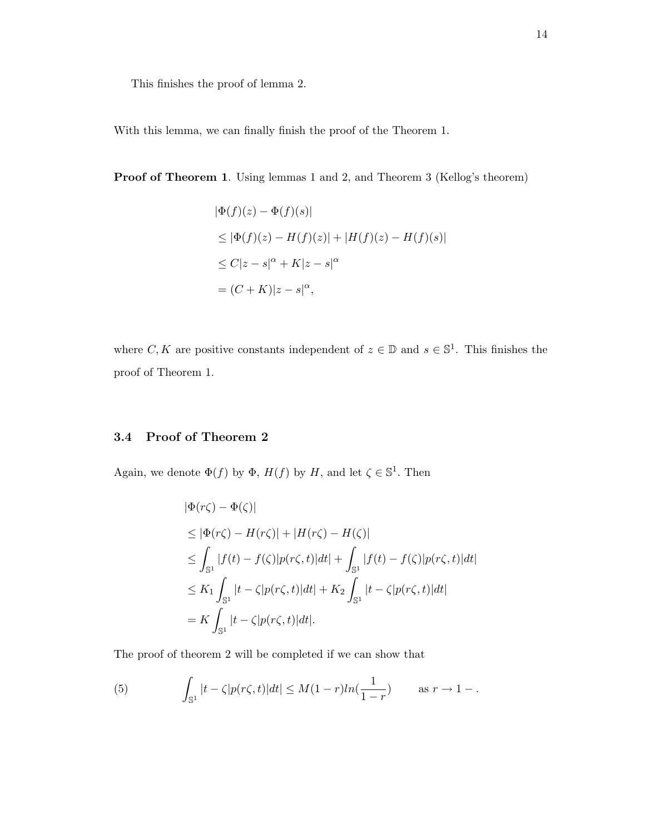This finishes the proof of lemma 2.

With this lemma, we can finally finish the proof of the Theorem 1.

Proof of Theorem 1. Using lemmas 1 and 2, and Theorem 3 (Kellog's theorem)

$$
|\Phi(f)(z) - \Phi(f)(s)|
$$
  
\n
$$
\leq |\Phi(f)(z) - H(f)(z)| + |H(f)(z) - H(f)(s)|
$$
  
\n
$$
\leq C|z - s|^{\alpha} + K|z - s|^{\alpha}
$$
  
\n
$$
= (C + K)|z - s|^{\alpha},
$$

where C, K are positive constants independent of  $z \in \mathbb{D}$  and  $s \in \mathbb{S}^1$ . This finishes the proof of Theorem 1.

## 3.4 Proof of Theorem 2

Again, we denote  $\Phi(f)$  by  $\Phi$ ,  $H(f)$  by H, and let  $\zeta \in \mathbb{S}^1$ . Then

$$
\begin{aligned} |\Phi(r\zeta) - \Phi(\zeta)| \\ &\le |\Phi(r\zeta) - H(r\zeta)| + |H(r\zeta) - H(\zeta)| \\ &\le \int_{\mathbb{S}^1} |f(t) - f(\zeta)| p(r\zeta, t) |dt| + \int_{\mathbb{S}^1} |f(t) - f(\zeta)| p(r\zeta, t) |dt| \\ &\le K_1 \int_{\mathbb{S}^1} |t - \zeta| p(r\zeta, t) |dt| + K_2 \int_{\mathbb{S}^1} |t - \zeta| p(r\zeta, t) |dt| \\ &= K \int_{\mathbb{S}^1} |t - \zeta| p(r\zeta, t) |dt|. \end{aligned}
$$

The proof of theorem 2 will be completed if we can show that

(5) 
$$
\int_{\mathbb{S}^1} |t - \zeta| p(r\zeta, t) |dt| \leq M(1 - r) \ln(\frac{1}{1 - r}) \quad \text{as } r \to 1 - .
$$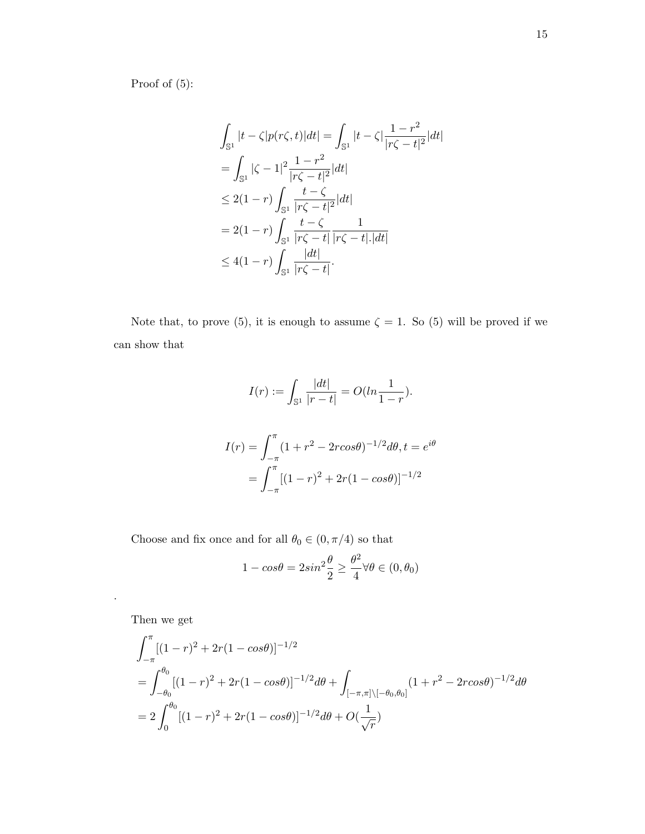Proof of (5):

$$
\int_{\mathbb{S}^1} |t - \zeta| p(r\zeta, t)| dt = \int_{\mathbb{S}^1} |t - \zeta| \frac{1 - r^2}{|r\zeta - t|^2} |dt|
$$
  
\n
$$
= \int_{\mathbb{S}^1} |\zeta - 1|^2 \frac{1 - r^2}{|r\zeta - t|^2} |dt|
$$
  
\n
$$
\leq 2(1 - r) \int_{\mathbb{S}^1} \frac{t - \zeta}{|r\zeta - t|^2} |dt|
$$
  
\n
$$
= 2(1 - r) \int_{\mathbb{S}^1} \frac{t - \zeta}{|r\zeta - t|} \frac{1}{|r\zeta - t| |\zeta|}
$$
  
\n
$$
\leq 4(1 - r) \int_{\mathbb{S}^1} \frac{|dt|}{|r\zeta - t|}.
$$

Note that, to prove (5), it is enough to assume  $\zeta = 1$ . So (5) will be proved if we can show that

$$
I(r) := \int_{\mathbb{S}^1} \frac{|dt|}{|r - t|} = O(ln \frac{1}{1 - r}).
$$

$$
I(r) = \int_{-\pi}^{\pi} (1 + r^2 - 2r\cos\theta)^{-1/2} d\theta, t = e^{i\theta}
$$

$$
= \int_{-\pi}^{\pi} [(1 - r)^2 + 2r(1 - \cos\theta)]^{-1/2}
$$

Choose and fix once and for all  $\theta_0\in(0,\pi/4)$  so that

$$
1 - \cos\theta = 2\sin^2\frac{\theta}{2} \ge \frac{\theta^2}{4} \forall \theta \in (0, \theta_0)
$$

Then we get

.

$$
\int_{-\pi}^{\pi} [(1-r)^2 + 2r(1 - \cos\theta)]^{-1/2}
$$
\n
$$
= \int_{-\theta_0}^{\theta_0} [(1-r)^2 + 2r(1 - \cos\theta)]^{-1/2} d\theta + \int_{[-\pi,\pi] \setminus [-\theta_0,\theta_0]} (1 + r^2 - 2r\cos\theta)^{-1/2} d\theta
$$
\n
$$
= 2 \int_0^{\theta_0} [(1-r)^2 + 2r(1 - \cos\theta)]^{-1/2} d\theta + O(\frac{1}{\sqrt{r}})
$$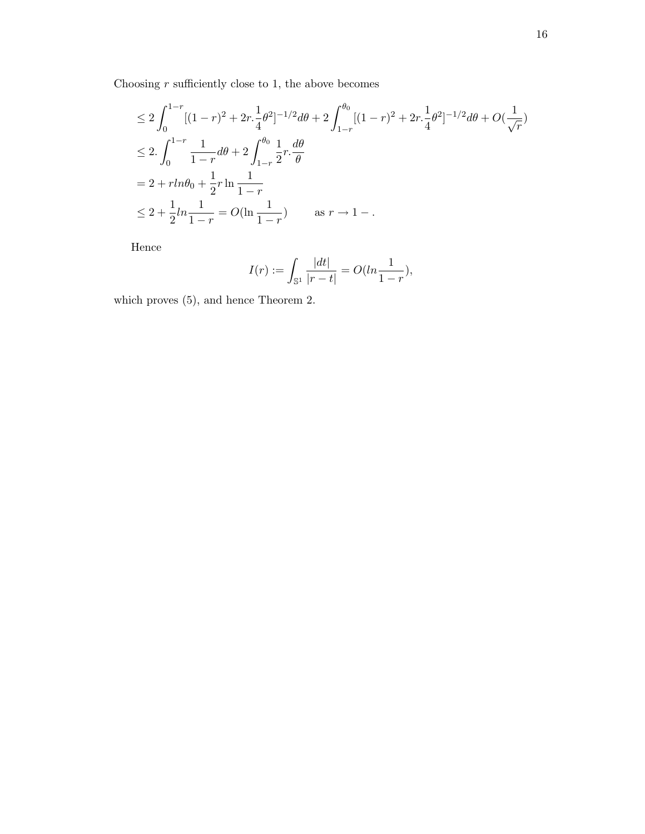Choosing  $r$  sufficiently close to 1, the above becomes

$$
\leq 2 \int_0^{1-r} [(1-r)^2 + 2r \cdot \frac{1}{4} \theta^2]^{-1/2} d\theta + 2 \int_{1-r}^{\theta_0} [(1-r)^2 + 2r \cdot \frac{1}{4} \theta^2]^{-1/2} d\theta + O(\frac{1}{\sqrt{r}})
$$
  
\n
$$
\leq 2 \cdot \int_0^{1-r} \frac{1}{1-r} d\theta + 2 \int_{1-r}^{\theta_0} \frac{1}{2} r \cdot \frac{d\theta}{\theta}
$$
  
\n
$$
= 2 + r \ln \theta_0 + \frac{1}{2} r \ln \frac{1}{1-r}
$$
  
\n
$$
\leq 2 + \frac{1}{2} \ln \frac{1}{1-r} = O(\ln \frac{1}{1-r}) \quad \text{as } r \to 1 - .
$$

Hence

$$
I(r) := \int_{\mathbb{S}^1} \frac{|dt|}{|r-t|} = O(ln\frac{1}{1-r}),
$$

which proves (5), and hence Theorem 2.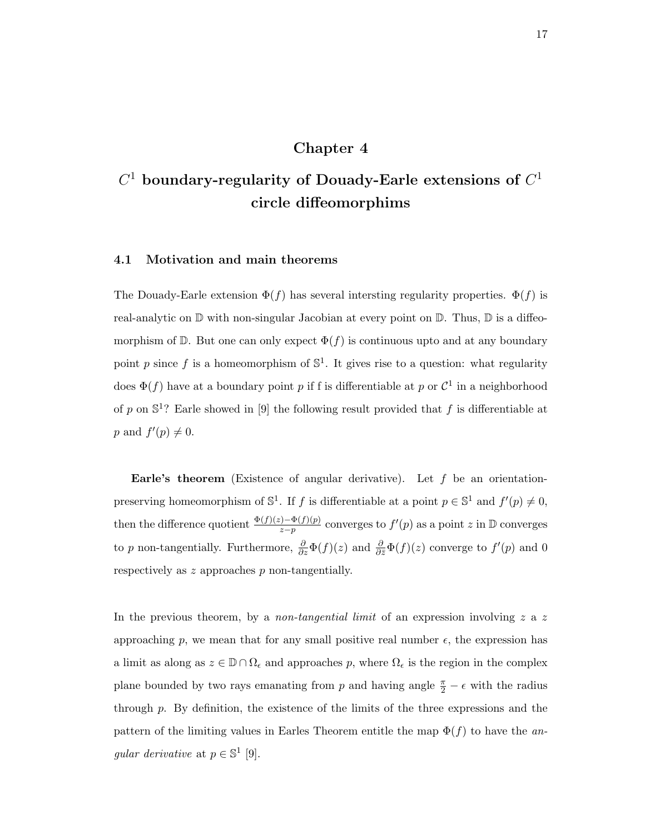## Chapter 4

# $C^1$  boundary-regularity of Douady-Earle extensions of  $C^1$ circle diffeomorphims

#### 4.1 Motivation and main theorems

The Douady-Earle extension  $\Phi(f)$  has several intersting regularity properties.  $\Phi(f)$  is real-analytic on  $\mathbb D$  with non-singular Jacobian at every point on  $\mathbb D$ . Thus,  $\mathbb D$  is a diffeomorphism of  $\mathbb{D}$ . But one can only expect  $\Phi(f)$  is continuous upto and at any boundary point p since f is a homeomorphism of  $\mathbb{S}^1$ . It gives rise to a question: what regularity does  $\Phi(f)$  have at a boundary point p if f is differentiable at p or  $\mathcal{C}^1$  in a neighborhood of p on  $\mathbb{S}^1$ ? Earle showed in [9] the following result provided that f is differentiable at p and  $f'(p) \neq 0$ .

**Earle's theorem** (Existence of angular derivative). Let  $f$  be an orientationpreserving homeomorphism of  $\mathbb{S}^1$ . If f is differentiable at a point  $p \in \mathbb{S}^1$  and  $f'(p) \neq 0$ , then the difference quotient  $\frac{\Phi(f)(z)-\Phi(f)(p)}{z-p}$  converges to  $f'(p)$  as a point z in D converges to p non-tangentially. Furthermore,  $\frac{\partial}{\partial z}\Phi(f)(z)$  and  $\frac{\partial}{\partial \bar{z}}\Phi(f)(z)$  converge to  $f'(p)$  and 0 respectively as z approaches p non-tangentially.

In the previous theorem, by a *non-tangential limit* of an expression involving z a z approaching p, we mean that for any small positive real number  $\epsilon$ , the expression has a limit as along as  $z \in \mathbb{D} \cap \Omega_{\epsilon}$  and approaches p, where  $\Omega_{\epsilon}$  is the region in the complex plane bounded by two rays emanating from p and having angle  $\frac{\pi}{2} - \epsilon$  with the radius through p. By definition, the existence of the limits of the three expressions and the pattern of the limiting values in Earles Theorem entitle the map  $\Phi(f)$  to have the angular derivative at  $p \in \mathbb{S}^1$  [9].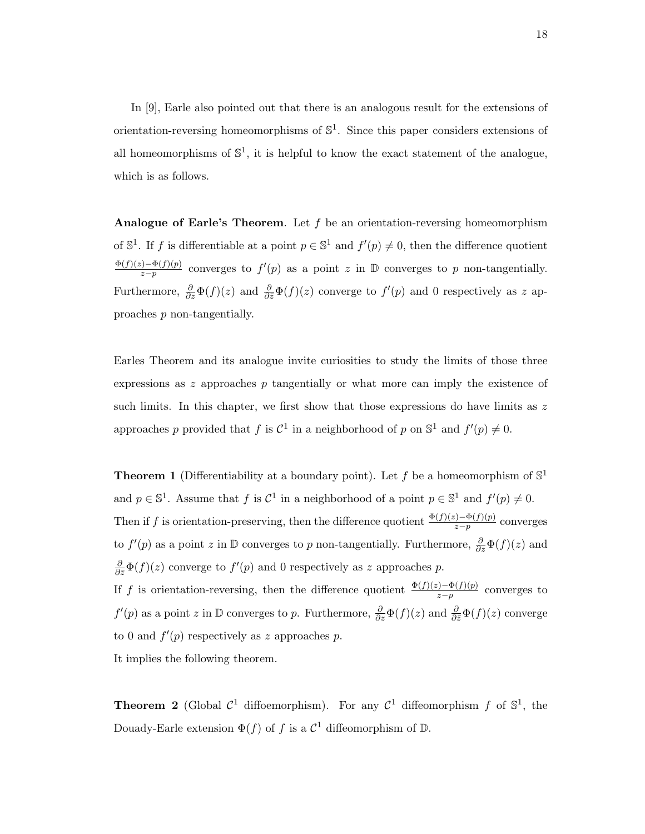In [9], Earle also pointed out that there is an analogous result for the extensions of orientation-reversing homeomorphisms of  $\mathbb{S}^1$ . Since this paper considers extensions of all homeomorphisms of  $\mathbb{S}^1$ , it is helpful to know the exact statement of the analogue, which is as follows.

**Analogue of Earle's Theorem.** Let  $f$  be an orientation-reversing homeomorphism of  $\mathbb{S}^1$ . If f is differentiable at a point  $p \in \mathbb{S}^1$  and  $f'(p) \neq 0$ , then the difference quotient  $\Phi(f)(z)-\Phi(f)(p)$  $\frac{\partial f(x)-\Phi(f)(p)}{x-p}$  converges to  $f'(p)$  as a point z in D converges to p non-tangentially. Furthermore,  $\frac{\partial}{\partial z}\Phi(f)(z)$  and  $\frac{\partial}{\partial \bar{z}}\Phi(f)(z)$  converge to  $f'(p)$  and 0 respectively as z approaches p non-tangentially.

Earles Theorem and its analogue invite curiosities to study the limits of those three expressions as z approaches p tangentially or what more can imply the existence of such limits. In this chapter, we first show that those expressions do have limits as  $z$ approaches p provided that f is  $\mathcal{C}^1$  in a neighborhood of p on  $\mathbb{S}^1$  and  $f'(p) \neq 0$ .

**Theorem 1** (Differentiability at a boundary point). Let f be a homeomorphism of  $\mathbb{S}^1$ and  $p \in \mathbb{S}^1$ . Assume that f is  $\mathcal{C}^1$  in a neighborhood of a point  $p \in \mathbb{S}^1$  and  $f'(p) \neq 0$ . Then if f is orientation-preserving, then the difference quotient  $\frac{\Phi(f)(z)-\Phi(f)(p)}{z-p}$  converges to  $f'(p)$  as a point z in  $\mathbb D$  converges to p non-tangentially. Furthermore,  $\frac{\partial}{\partial z}\Phi(f)(z)$  and  $\frac{\partial}{\partial \bar{z}}\Phi(f)(z)$  converge to  $f'(p)$  and 0 respectively as z approaches p.

If f is orientation-reversing, then the difference quotient  $\frac{\Phi(f)(z)-\Phi(f)(p)}{z-p}$  converges to  $f'(p)$  as a point z in  $\mathbb D$  converges to p. Furthermore,  $\frac{\partial}{\partial z}\Phi(f)(z)$  and  $\frac{\partial}{\partial \bar{z}}\Phi(f)(z)$  converge to 0 and  $f'(p)$  respectively as z approaches p.

It implies the following theorem.

**Theorem 2** (Global  $C^1$  diffoemorphism). For any  $C^1$  diffeomorphism f of  $\mathbb{S}^1$ , the Douady-Earle extension  $\Phi(f)$  of f is a  $\mathcal{C}^1$  diffeomorphism of D.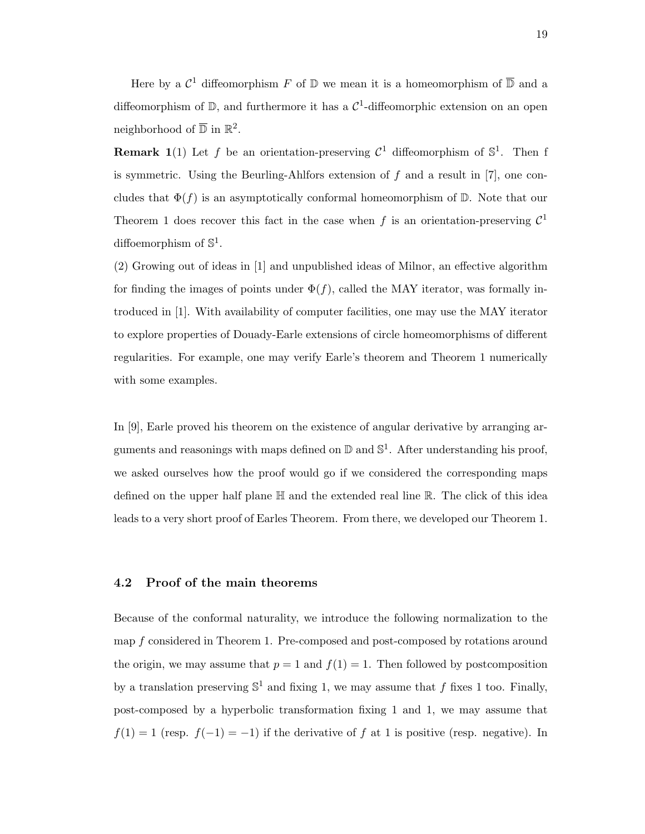Here by a  $\mathcal{C}^1$  diffeomorphism F of  $\mathbb D$  we mean it is a homeomorphism of  $\overline{\mathbb D}$  and a diffeomorphism of  $\mathbb{D}$ , and furthermore it has a  $\mathcal{C}^1$ -diffeomorphic extension on an open neighborhood of  $\overline{\mathbb{D}}$  in  $\mathbb{R}^2$ .

**Remark 1**(1) Let f be an orientation-preserving  $\mathcal{C}^1$  diffeomorphism of  $\mathbb{S}^1$ . Then f is symmetric. Using the Beurling-Ahlfors extension of f and a result in  $[7]$ , one concludes that  $\Phi(f)$  is an asymptotically conformal homeomorphism of D. Note that our Theorem 1 does recover this fact in the case when f is an orientation-preserving  $\mathcal{C}^1$ diffoemorphism of  $\mathbb{S}^1$ .

(2) Growing out of ideas in [1] and unpublished ideas of Milnor, an effective algorithm for finding the images of points under  $\Phi(f)$ , called the MAY iterator, was formally introduced in [1]. With availability of computer facilities, one may use the MAY iterator to explore properties of Douady-Earle extensions of circle homeomorphisms of different regularities. For example, one may verify Earle's theorem and Theorem 1 numerically with some examples.

In [9], Earle proved his theorem on the existence of angular derivative by arranging arguments and reasonings with maps defined on  $\mathbb D$  and  $\mathbb S^1$ . After understanding his proof, we asked ourselves how the proof would go if we considered the corresponding maps defined on the upper half plane  $\mathbb H$  and the extended real line  $\mathbb R$ . The click of this idea leads to a very short proof of Earles Theorem. From there, we developed our Theorem 1.

#### 4.2 Proof of the main theorems

Because of the conformal naturality, we introduce the following normalization to the map f considered in Theorem 1. Pre-composed and post-composed by rotations around the origin, we may assume that  $p = 1$  and  $f(1) = 1$ . Then followed by postcomposition by a translation preserving  $\mathbb{S}^1$  and fixing 1, we may assume that f fixes 1 too. Finally, post-composed by a hyperbolic transformation fixing 1 and 1, we may assume that  $f(1) = 1$  (resp.  $f(-1) = -1$ ) if the derivative of f at 1 is positive (resp. negative). In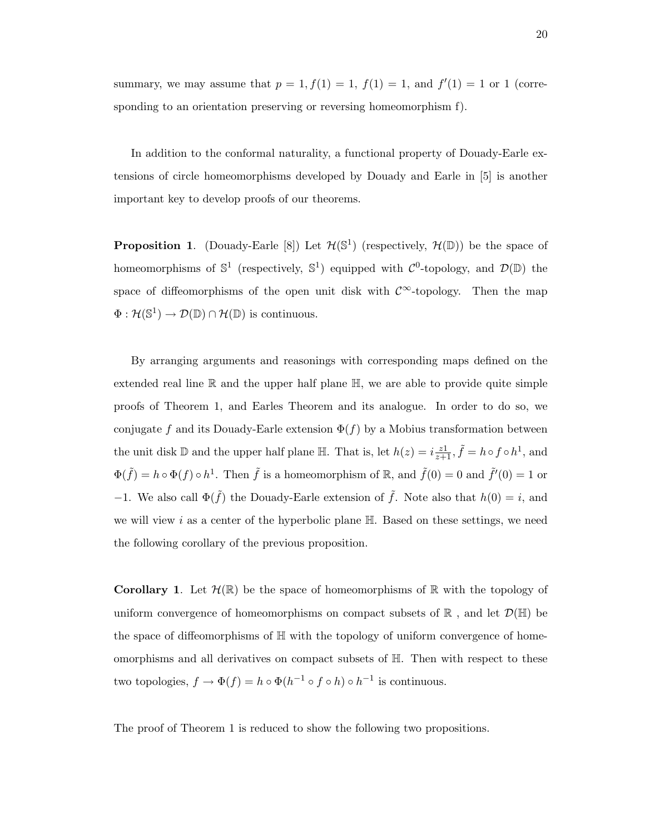summary, we may assume that  $p = 1, f(1) = 1, f(1) = 1$ , and  $f'(1) = 1$  or 1 (corresponding to an orientation preserving or reversing homeomorphism f).

In addition to the conformal naturality, a functional property of Douady-Earle extensions of circle homeomorphisms developed by Douady and Earle in [5] is another important key to develop proofs of our theorems.

**Proposition 1.** (Douady-Earle [8]) Let  $\mathcal{H}(\mathbb{S}^1)$  (respectively,  $\mathcal{H}(\mathbb{D})$ ) be the space of homeomorphisms of  $\mathbb{S}^1$  (respectively,  $\mathbb{S}^1$ ) equipped with  $\mathcal{C}^0$ -topology, and  $\mathcal{D}(\mathbb{D})$  the space of diffeomorphisms of the open unit disk with  $\mathcal{C}^{\infty}$ -topology. Then the map  $\Phi : \mathcal{H}(\mathbb{S}^1) \to \mathcal{D}(\mathbb{D}) \cap \mathcal{H}(\mathbb{D})$  is continuous.

By arranging arguments and reasonings with corresponding maps defined on the extended real line  $\mathbb R$  and the upper half plane  $\mathbb H$ , we are able to provide quite simple proofs of Theorem 1, and Earles Theorem and its analogue. In order to do so, we conjugate f and its Douady-Earle extension  $\Phi(f)$  by a Mobius transformation between the unit disk D and the upper half plane  $\mathbb{H}$ . That is, let  $h(z) = i \frac{z_1}{z+1}$ ,  $\tilde{f} = h \circ f \circ h^1$ , and  $\Phi(\tilde{f}) = h \circ \Phi(f) \circ h^1$ . Then  $\tilde{f}$  is a homeomorphism of R, and  $\tilde{f}(0) = 0$  and  $\tilde{f}'(0) = 1$  or −1. We also call  $\Phi(\tilde{f})$  the Douady-Earle extension of  $\tilde{f}$ . Note also that  $h(0) = i$ , and we will view i as a center of the hyperbolic plane  $\mathbb{H}$ . Based on these settings, we need the following corollary of the previous proposition.

**Corollary 1.** Let  $\mathcal{H}(\mathbb{R})$  be the space of homeomorphisms of  $\mathbb{R}$  with the topology of uniform convergence of homeomorphisms on compact subsets of  $\mathbb R$ , and let  $\mathcal{D}(\mathbb H)$  be the space of diffeomorphisms of H with the topology of uniform convergence of homeomorphisms and all derivatives on compact subsets of H. Then with respect to these two topologies,  $f \to \Phi(f) = h \circ \Phi(h^{-1} \circ f \circ h) \circ h^{-1}$  is continuous.

The proof of Theorem 1 is reduced to show the following two propositions.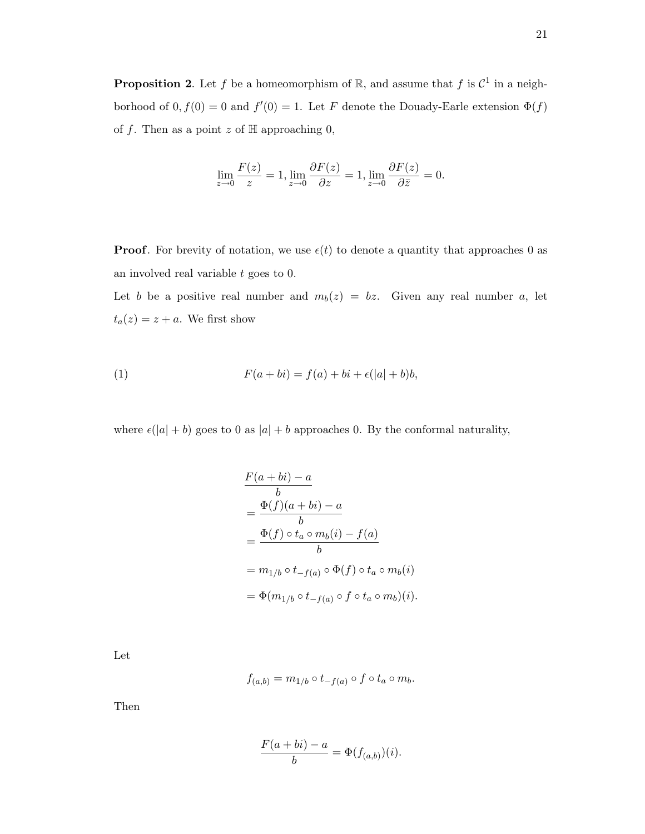$$
\lim_{z \to 0} \frac{F(z)}{z} = 1, \lim_{z \to 0} \frac{\partial F(z)}{\partial z} = 1, \lim_{z \to 0} \frac{\partial F(z)}{\partial \bar{z}} = 0.
$$

**Proof.** For brevity of notation, we use  $\epsilon(t)$  to denote a quantity that approaches 0 as an involved real variable  $t$  goes to 0.

Let b be a positive real number and  $m_b(z) = bz$ . Given any real number a, let  $t_a(z) = z + a$ . We first show

(1) 
$$
F(a+bi) = f(a) + bi + \epsilon(|a|+b)b,
$$

where  $\epsilon(|a| + b)$  goes to 0 as  $|a| + b$  approaches 0. By the conformal naturality,

$$
\frac{F(a+bi) - a}{b}
$$
\n
$$
= \frac{\Phi(f)(a+bi) - a}{b}
$$
\n
$$
= \frac{\Phi(f) \circ t_a \circ m_b(i) - f(a)}{b}
$$
\n
$$
= m_{1/b} \circ t_{-f(a)} \circ \Phi(f) \circ t_a \circ m_b(i)
$$
\n
$$
= \Phi(m_{1/b} \circ t_{-f(a)} \circ f \circ t_a \circ m_b)(i).
$$

Let

$$
f_{(a,b)} = m_{1/b} \circ t_{-f(a)} \circ f \circ t_a \circ m_b.
$$

Then

$$
\frac{F(a+bi)-a}{b} = \Phi(f_{(a,b)})(i).
$$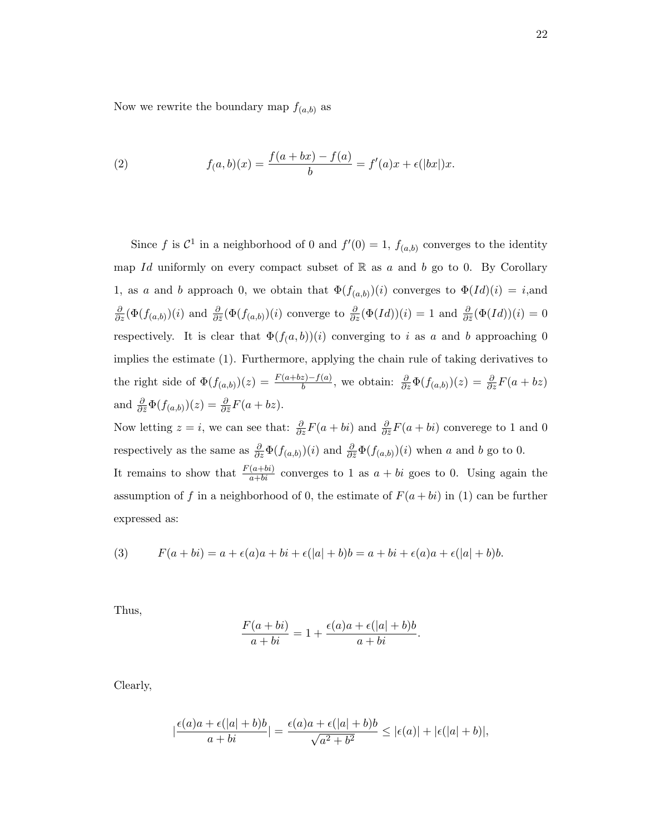Now we rewrite the boundary map  $f_{(a,b)}$  as

(2) 
$$
f(a,b)(x) = \frac{f(a+bx) - f(a)}{b} = f'(a)x + \epsilon(|bx|)x.
$$

Since f is  $\mathcal{C}^1$  in a neighborhood of 0 and  $f'(0) = 1$ ,  $f_{(a,b)}$  converges to the identity map Id uniformly on every compact subset of  $\mathbb R$  as a and b go to 0. By Corollary 1, as a and b approach 0, we obtain that  $\Phi(f_{(a,b)})(i)$  converges to  $\Phi(Id)(i) = i$ , and  $\frac{\partial}{\partial z}(\Phi(f_{(a,b)})(i)$  and  $\frac{\partial}{\partial \bar{z}}(\Phi(f_{(a,b)})(i)$  converge to  $\frac{\partial}{\partial z}(\Phi(Id))(i) = 1$  and  $\frac{\partial}{\partial \bar{z}}(\Phi(Id))(i) = 0$ respectively. It is clear that  $\Phi(f(a, b))(i)$  converging to i as a and b approaching 0 implies the estimate (1). Furthermore, applying the chain rule of taking derivatives to the right side of  $\Phi(f_{(a,b)})(z) = \frac{F(a+bz)-f(a)}{b}$ , we obtain:  $\frac{\partial}{\partial z}\Phi(f_{(a,b)})(z) = \frac{\partial}{\partial z}F(a+bz)$ and  $\frac{\partial}{\partial \bar{z}} \Phi(f_{(a,b)})(z) = \frac{\partial}{\partial \bar{z}} F(a + bz)$ .

Now letting  $z = i$ , we can see that:  $\frac{\partial}{\partial z}F(a + bi)$  and  $\frac{\partial}{\partial \bar{z}}F(a + bi)$  converege to 1 and 0 respectively as the same as  $\frac{\partial}{\partial z}\Phi(f_{(a,b)})(i)$  and  $\frac{\partial}{\partial \bar{z}}\Phi(f_{(a,b)})(i)$  when a and b go to 0. It remains to show that  $\frac{F(a+bi)}{a+bi}$  converges to 1 as  $a+bi$  goes to 0. Using again the assumption of f in a neighborhood of 0, the estimate of  $F(a + bi)$  in (1) can be further expressed as:

(3) 
$$
F(a+bi) = a + \epsilon(a)a + bi + \epsilon(|a|+b)b = a + bi + \epsilon(a)a + \epsilon(|a|+b)b.
$$

Thus,

$$
\frac{F(a+bi)}{a+bi} = 1 + \frac{\epsilon(a)a + \epsilon(|a|+b)b}{a+bi}.
$$

Clearly,

$$
\left|\frac{\epsilon(a)a+\epsilon(|a|+b)b}{a+bi}\right| = \frac{\epsilon(a)a+\epsilon(|a|+b)b}{\sqrt{a^2+b^2}} \leq |\epsilon(a)|+|\epsilon(|a|+b)|,
$$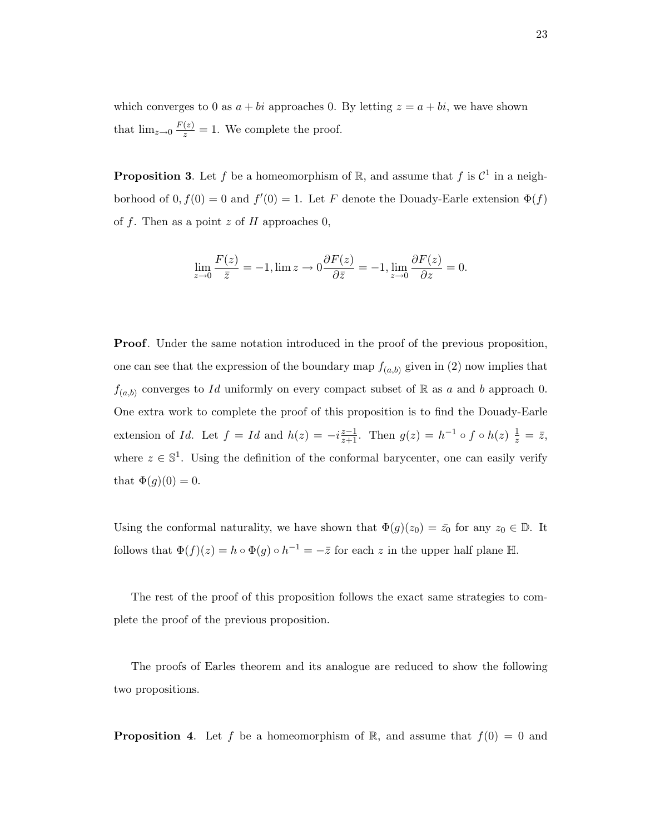which converges to 0 as  $a + bi$  approaches 0. By letting  $z = a + bi$ , we have shown that  $\lim_{z\to 0} \frac{F(z)}{z} = 1$ . We complete the proof.

**Proposition 3.** Let f be a homeomorphism of R, and assume that f is  $\mathcal{C}^1$  in a neighborhood of  $0, f(0) = 0$  and  $f'(0) = 1$ . Let F denote the Douady-Earle extension  $\Phi(f)$ of f. Then as a point z of H approaches 0,

$$
\lim_{z \to 0} \frac{F(z)}{\bar{z}} = -1, \lim z \to 0 \frac{\partial F(z)}{\partial \bar{z}} = -1, \lim_{z \to 0} \frac{\partial F(z)}{\partial z} = 0.
$$

**Proof.** Under the same notation introduced in the proof of the previous proposition, one can see that the expression of the boundary map  $f_{(a,b)}$  given in (2) now implies that  $f_{(a,b)}$  converges to Id uniformly on every compact subset of R as a and b approach 0. One extra work to complete the proof of this proposition is to find the Douady-Earle extension of Id. Let  $f = Id$  and  $h(z) = -i \frac{z-1}{z+1}$ . Then  $g(z) = h^{-1} \circ f \circ h(z) \frac{1}{z} = \overline{z}$ , where  $z \in \mathbb{S}^1$ . Using the definition of the conformal barycenter, one can easily verify that  $\Phi(g)(0) = 0$ .

Using the conformal naturality, we have shown that  $\Phi(g)(z_0) = \bar{z_0}$  for any  $z_0 \in \mathbb{D}$ . It follows that  $\Phi(f)(z) = h \circ \Phi(g) \circ h^{-1} = -\overline{z}$  for each z in the upper half plane H.

The rest of the proof of this proposition follows the exact same strategies to complete the proof of the previous proposition.

The proofs of Earles theorem and its analogue are reduced to show the following two propositions.

**Proposition 4.** Let f be a homeomorphism of R, and assume that  $f(0) = 0$  and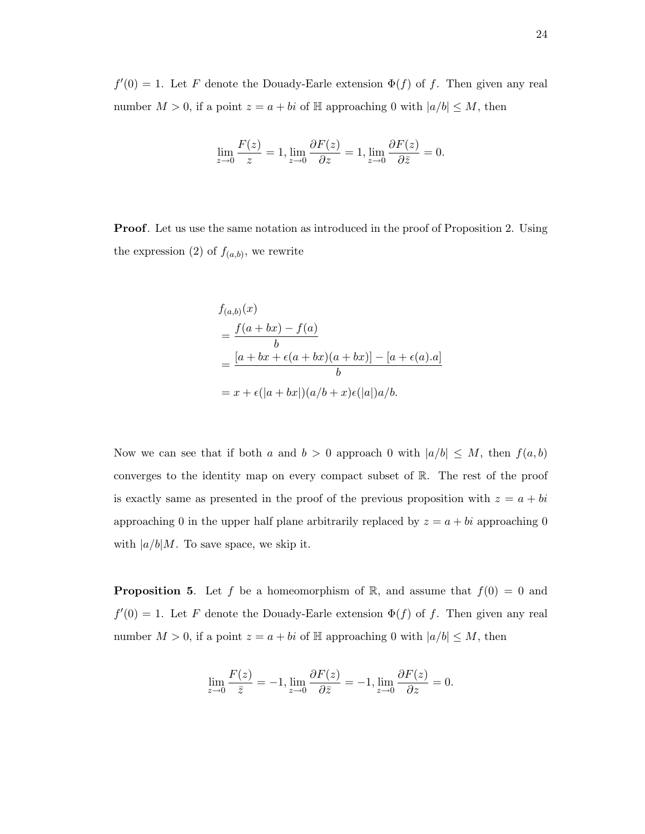$f'(0) = 1$ . Let F denote the Douady-Earle extension  $\Phi(f)$  of f. Then given any real number  $M > 0$ , if a point  $z = a + bi$  of  $\mathbb{H}$  approaching 0 with  $|a/b| \leq M$ , then

$$
\lim_{z \to 0} \frac{F(z)}{z} = 1, \lim_{z \to 0} \frac{\partial F(z)}{\partial z} = 1, \lim_{z \to 0} \frac{\partial F(z)}{\partial \overline{z}} = 0.
$$

Proof. Let us use the same notation as introduced in the proof of Proposition 2. Using the expression (2) of  $f_{(a,b)}$ , we rewrite

$$
f_{(a,b)}(x)
$$
  
= 
$$
\frac{f(a+bx) - f(a)}{b}
$$
  
= 
$$
\frac{[a+bx+\epsilon(a+bx)(a+bx)] - [a+\epsilon(a).a]}{b}
$$
  
= 
$$
x + \epsilon(|a+bx|)(a/b+x)\epsilon(|a|)a/b.
$$

Now we can see that if both a and  $b > 0$  approach 0 with  $|a/b| \leq M$ , then  $f(a, b)$ converges to the identity map on every compact subset of  $\mathbb{R}$ . The rest of the proof is exactly same as presented in the proof of the previous proposition with  $z = a + bi$ approaching 0 in the upper half plane arbitrarily replaced by  $z = a + bi$  approaching 0 with  $|a/b|M$ . To save space, we skip it.

**Proposition 5.** Let f be a homeomorphism of R, and assume that  $f(0) = 0$  and  $f'(0) = 1$ . Let F denote the Douady-Earle extension  $\Phi(f)$  of f. Then given any real number  $M > 0$ , if a point  $z = a + bi$  of  $\mathbb{H}$  approaching 0 with  $|a/b| \leq M$ , then

$$
\lim_{z \to 0} \frac{F(z)}{\bar{z}} = -1, \lim_{z \to 0} \frac{\partial F(z)}{\partial \bar{z}} = -1, \lim_{z \to 0} \frac{\partial F(z)}{\partial z} = 0.
$$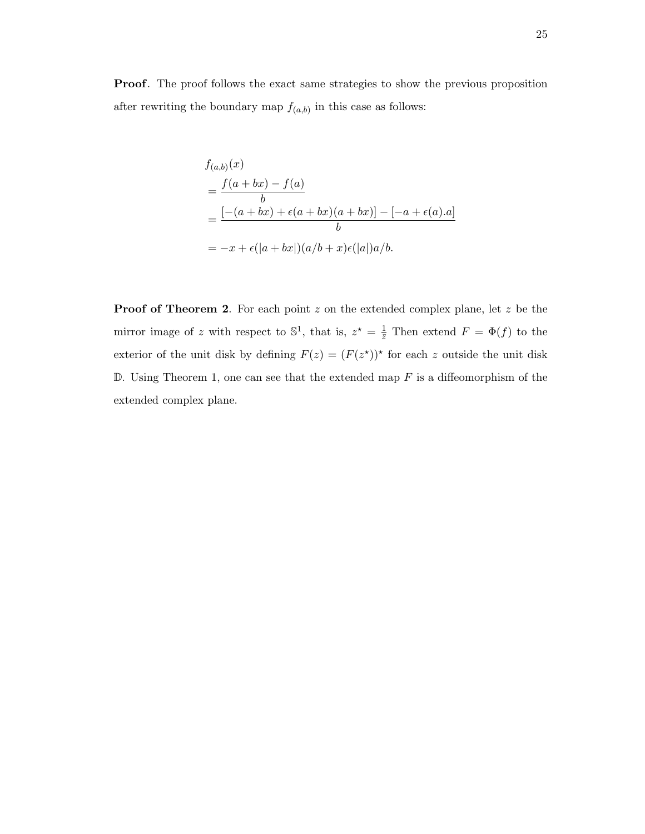Proof. The proof follows the exact same strategies to show the previous proposition after rewriting the boundary map  $f_{(a,b)}$  in this case as follows:

$$
f_{(a,b)}(x)
$$
  
= 
$$
\frac{f(a+bx) - f(a)}{b}
$$
  
= 
$$
\frac{[-(a+bx) + \epsilon(a+bx)(a+bx)] - [-a + \epsilon(a).a]}{b}
$$
  
= 
$$
-x + \epsilon(|a+bx|)(a/b+x)\epsilon(|a|)a/b.
$$

Proof of Theorem 2. For each point z on the extended complex plane, let z be the mirror image of z with respect to  $\mathbb{S}^1$ , that is,  $z^* = \frac{1}{\overline{z}}$  Then extend  $F = \Phi(f)$  to the exterior of the unit disk by defining  $F(z) = (F(z^*))^*$  for each z outside the unit disk  $D$ . Using Theorem 1, one can see that the extended map F is a diffeomorphism of the extended complex plane.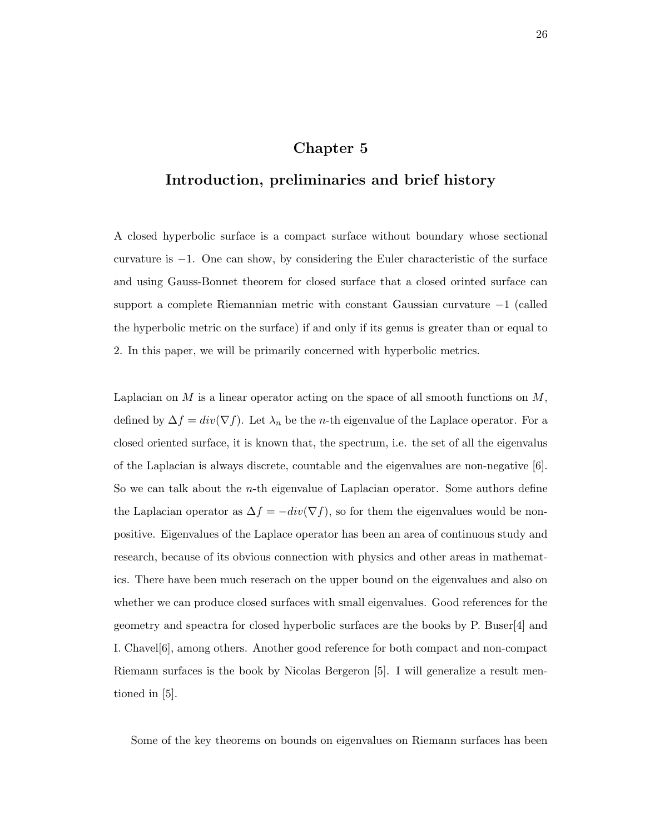### Chapter 5

## Introduction, preliminaries and brief history

A closed hyperbolic surface is a compact surface without boundary whose sectional curvature is −1. One can show, by considering the Euler characteristic of the surface and using Gauss-Bonnet theorem for closed surface that a closed orinted surface can support a complete Riemannian metric with constant Gaussian curvature −1 (called the hyperbolic metric on the surface) if and only if its genus is greater than or equal to 2. In this paper, we will be primarily concerned with hyperbolic metrics.

Laplacian on  $M$  is a linear operator acting on the space of all smooth functions on  $M$ , defined by  $\Delta f = div(\nabla f)$ . Let  $\lambda_n$  be the *n*-th eigenvalue of the Laplace operator. For a closed oriented surface, it is known that, the spectrum, i.e. the set of all the eigenvalus of the Laplacian is always discrete, countable and the eigenvalues are non-negative [6]. So we can talk about the *n*-th eigenvalue of Laplacian operator. Some authors define the Laplacian operator as  $\Delta f = -div(\nabla f)$ , so for them the eigenvalues would be nonpositive. Eigenvalues of the Laplace operator has been an area of continuous study and research, because of its obvious connection with physics and other areas in mathematics. There have been much reserach on the upper bound on the eigenvalues and also on whether we can produce closed surfaces with small eigenvalues. Good references for the geometry and speactra for closed hyperbolic surfaces are the books by P. Buser[4] and I. Chavel[6], among others. Another good reference for both compact and non-compact Riemann surfaces is the book by Nicolas Bergeron [5]. I will generalize a result mentioned in [5].

Some of the key theorems on bounds on eigenvalues on Riemann surfaces has been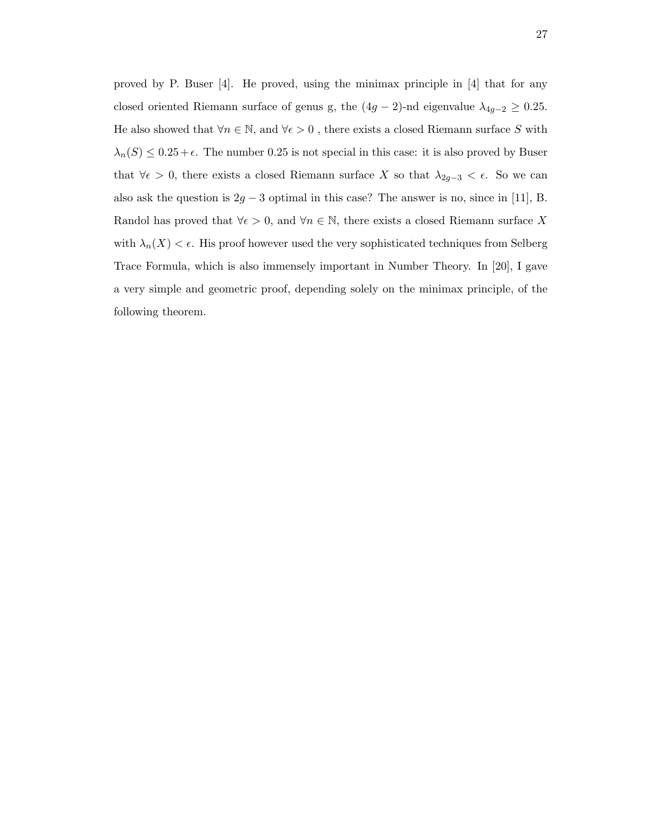proved by P. Buser [4]. He proved, using the minimax principle in [4] that for any closed oriented Riemann surface of genus g, the  $(4g - 2)$ -nd eigenvalue  $\lambda_{4g-2} \ge 0.25$ . He also showed that  $\forall n\in\mathbb{N},$  and  $\forall\epsilon>0$  , there exists a closed Riemann surface  $S$  with  $\lambda_n(S) \leq 0.25 + \epsilon$ . The number 0.25 is not special in this case: it is also proved by Buser that  $\forall \epsilon > 0$ , there exists a closed Riemann surface X so that  $\lambda_{2g-3} < \epsilon$ . So we can also ask the question is  $2g - 3$  optimal in this case? The answer is no, since in [11], B. Randol has proved that  $\forall \epsilon > 0$ , and  $\forall n \in \mathbb{N}$ , there exists a closed Riemann surface X with  $\lambda_n(X) < \epsilon$ . His proof however used the very sophisticated techniques from Selberg Trace Formula, which is also immensely important in Number Theory. In [20], I gave a very simple and geometric proof, depending solely on the minimax principle, of the following theorem.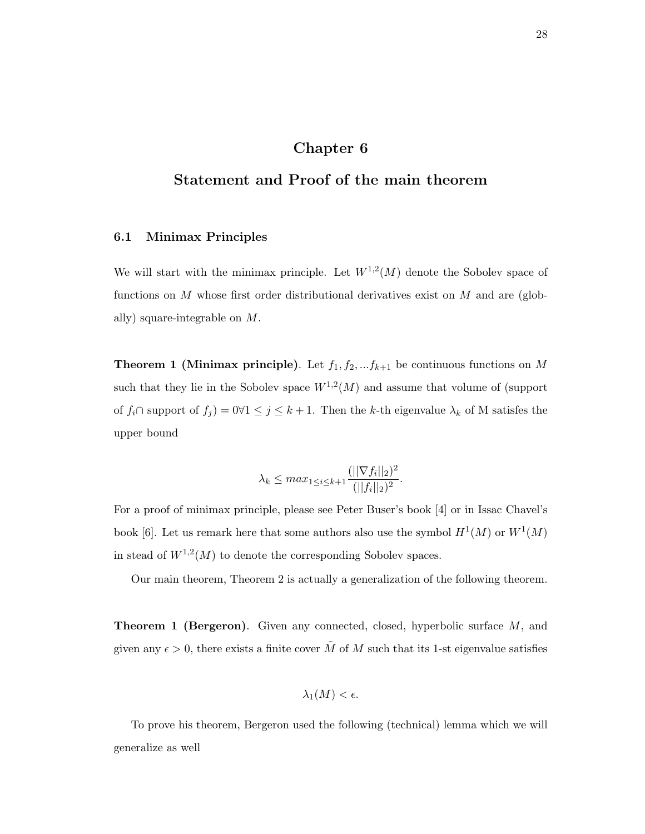## Chapter 6

## Statement and Proof of the main theorem

### 6.1 Minimax Principles

We will start with the minimax principle. Let  $W^{1,2}(M)$  denote the Sobolev space of functions on M whose first order distributional derivatives exist on M and are (globally) square-integrable on M.

**Theorem 1 (Minimax principle)**. Let  $f_1, f_2, \ldots, f_{k+1}$  be continuous functions on M such that they lie in the Sobolev space  $W^{1,2}(M)$  and assume that volume of (support of  $f_i \cap$  support of  $f_j$  = 0 $\forall 1 \leq j \leq k+1$ . Then the k-th eigenvalue  $\lambda_k$  of M satisfes the upper bound

$$
\lambda_k \le \max_{1 \le i \le k+1} \frac{(||\nabla f_i||_2)^2}{(||f_i||_2)^2}.
$$

For a proof of minimax principle, please see Peter Buser's book [4] or in Issac Chavel's book [6]. Let us remark here that some authors also use the symbol  $H^1(M)$  or  $W^1(M)$ in stead of  $W^{1,2}(M)$  to denote the corresponding Sobolev spaces.

Our main theorem, Theorem 2 is actually a generalization of the following theorem.

**Theorem 1 (Bergeron).** Given any connected, closed, hyperbolic surface M, and given any  $\epsilon > 0$ , there exists a finite cover  $\tilde{M}$  of M such that its 1-st eigenvalue satisfies

$$
\lambda_1(M) < \epsilon.
$$

To prove his theorem, Bergeron used the following (technical) lemma which we will generalize as well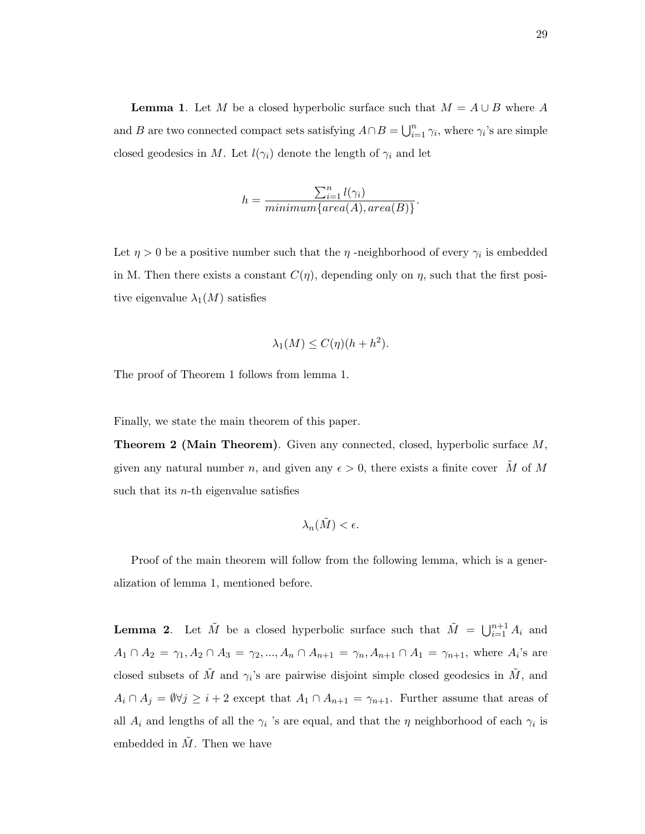**Lemma 1.** Let M be a closed hyperbolic surface such that  $M = A \cup B$  where A and B are two connected compact sets satisfying  $A \cap B = \bigcup_{i=1}^{n} \gamma_i$ , where  $\gamma_i$ 's are simple closed geodesics in M. Let  $l(\gamma_i)$  denote the length of  $\gamma_i$  and let

$$
h = \frac{\sum_{i=1}^{n} l(\gamma_i)}{minimum\{area(A), area(B)\}}.
$$

Let  $\eta > 0$  be a positive number such that the  $\eta$ -neighborhood of every  $\gamma_i$  is embedded in M. Then there exists a constant  $C(\eta)$ , depending only on  $\eta$ , such that the first positive eigenvalue  $\lambda_1(M)$  satisfies

$$
\lambda_1(M) \le C(\eta)(h + h^2).
$$

The proof of Theorem 1 follows from lemma 1.

Finally, we state the main theorem of this paper.

Theorem 2 (Main Theorem). Given any connected, closed, hyperbolic surface M, given any natural number n, and given any  $\epsilon > 0$ , there exists a finite cover  $\tilde{M}$  of M such that its  $n$ -th eigenvalue satisfies

$$
\lambda_n(\tilde{M}) < \epsilon.
$$

Proof of the main theorem will follow from the following lemma, which is a generalization of lemma 1, mentioned before.

**Lemma 2.** Let  $\tilde{M}$  be a closed hyperbolic surface such that  $\tilde{M} = \bigcup_{i=1}^{n+1} A_i$  and  $A_1 \cap A_2 = \gamma_1, A_2 \cap A_3 = \gamma_2, ..., A_n \cap A_{n+1} = \gamma_n, A_{n+1} \cap A_1 = \gamma_{n+1}$ , where  $A_i$ 's are closed subsets of  $\tilde{M}$  and  $\gamma_i$ 's are pairwise disjoint simple closed geodesics in  $\tilde{M}$ , and  $A_i \cap A_j = \emptyset \forall j \geq i+2$  except that  $A_1 \cap A_{n+1} = \gamma_{n+1}$ . Further assume that areas of all  $A_i$  and lengths of all the  $\gamma_i$  's are equal, and that the  $\eta$  neighborhood of each  $\gamma_i$  is embedded in  $\tilde{M}$ . Then we have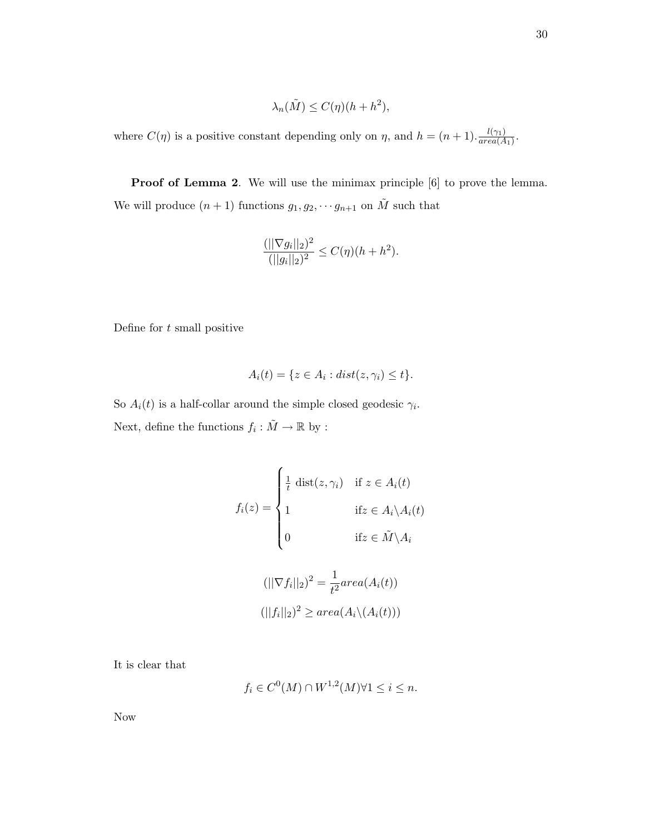$$
\lambda_n(\tilde{M}) \le C(\eta)(h+h^2),
$$

where  $C(\eta)$  is a positive constant depending only on  $\eta$ , and  $h = (n+1) \frac{l(\gamma_1)}{area(\Lambda)}$  $\frac{\iota(\gamma_1)}{area(A_1)}$ .

Proof of Lemma 2. We will use the minimax principle  $[6]$  to prove the lemma. We will produce  $(n + 1)$  functions  $g_1, g_2, \dots g_{n+1}$  on  $\tilde{M}$  such that

$$
\frac{(||\nabla g_i||_2)^2}{(||g_i||_2)^2} \le C(\eta)(h+h^2).
$$

Define for t small positive

$$
A_i(t) = \{ z \in A_i : dist(z, \gamma_i) \le t \}.
$$

So  $A_i(t)$  is a half-collar around the simple closed geodesic  $\gamma_i$ . Next, define the functions  $f_i : \tilde{M} \to \mathbb{R}$  by :

$$
f_i(z) = \begin{cases} \frac{1}{t} \operatorname{dist}(z, \gamma_i) & \text{if } z \in A_i(t) \\ 1 & \text{if } z \in A_i \setminus A_i(t) \\ 0 & \text{if } z \in \tilde{M} \setminus A_i \end{cases}
$$

$$
(||\nabla f_i||_2)^2 = \frac{1}{t^2} area(A_i(t))
$$

$$
(||f_i||_2)^2 \geq area(A_i \setminus (A_i(t)))
$$

It is clear that

$$
f_i \in C^0(M) \cap W^{1,2}(M) \forall 1 \le i \le n.
$$

Now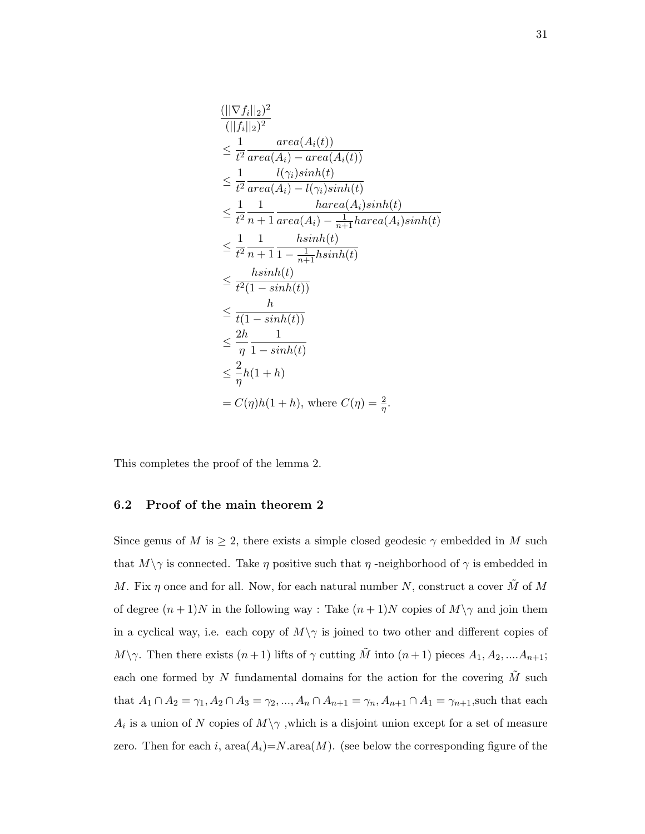$$
\frac{(||\nabla f_i||_2)^2}{(||f_i||_2)^2}
$$
\n
$$
\leq \frac{1}{t^2} \frac{area(A_i(t))}{area(A_i) - area(A_i(t))}
$$
\n
$$
\leq \frac{1}{t^2} \frac{l(\gamma_i)sinh(t)}{area(A_i) - l(\gamma_i)sinh(t)}
$$
\n
$$
\leq \frac{1}{t^2} \frac{1}{n+1} \frac{harea(A_i)sinh(t)}{area(A_i) - \frac{1}{n+1}harea(A_i)sinh(t)}
$$
\n
$$
\leq \frac{1}{t^2} \frac{1}{n+1} \frac{h sinh(t)}{1 - \frac{1}{n+1}h sinh(t)}
$$
\n
$$
\leq \frac{h sinh(t)}{t^2(1 - sinh(t))}
$$
\n
$$
\leq \frac{h}{t(1 - sinh(t))}
$$
\n
$$
\leq \frac{2h}{\eta} \frac{1}{1 - sinh(t)}
$$
\n
$$
\leq \frac{2}{\eta}h(1 + h)
$$
\n
$$
= C(\eta)h(1 + h), \text{ where } C(\eta) = \frac{2}{\eta}.
$$

This completes the proof of the lemma 2.

#### 6.2 Proof of the main theorem 2

Since genus of M is  $\geq 2$ , there exists a simple closed geodesic  $\gamma$  embedded in M such that  $M\setminus\gamma$  is connected. Take  $\eta$  positive such that  $\eta$ -neighborhood of  $\gamma$  is embedded in M. Fix  $\eta$  once and for all. Now, for each natural number N, construct a cover M of M of degree  $(n+1)N$  in the following way : Take  $(n+1)N$  copies of  $M\setminus\gamma$  and join them in a cyclical way, i.e. each copy of  $M\setminus\gamma$  is joined to two other and different copies of  $M\setminus\gamma$ . Then there exists  $(n+1)$  lifts of  $\gamma$  cutting  $\tilde{M}$  into  $(n+1)$  pieces  $A_1, A_2, \ldots, A_{n+1}$ ; each one formed by  $N$  fundamental domains for the action for the covering  $M$  such that  $A_1 \cap A_2 = \gamma_1, A_2 \cap A_3 = \gamma_2, ..., A_n \cap A_{n+1} = \gamma_n, A_{n+1} \cap A_1 = \gamma_{n+1}$ , such that each  $A_i$  is a union of N copies of  $M\setminus\gamma$ , which is a disjoint union except for a set of measure zero. Then for each i,  $area(A_i)=N.area(M)$ . (see below the corresponding figure of the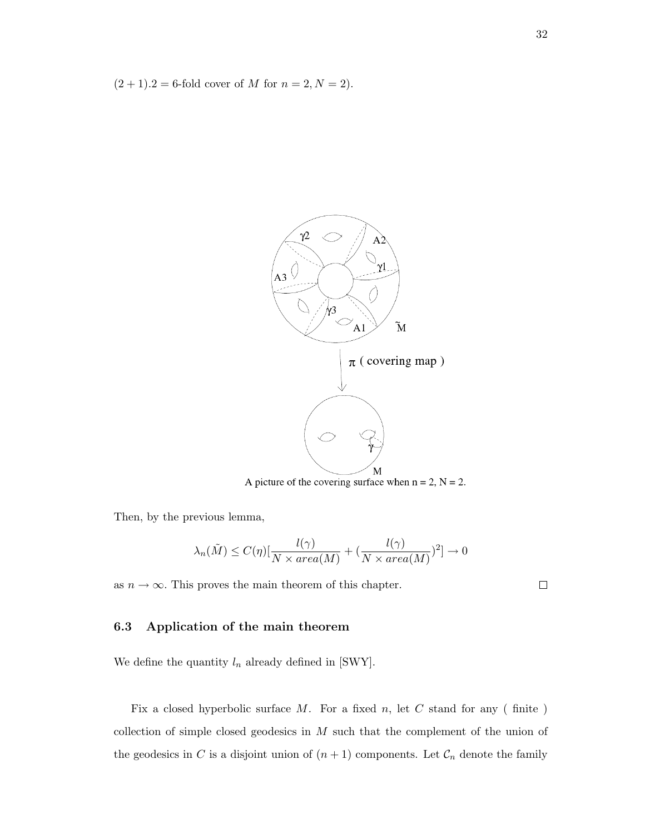$(2 + 1) \cdot 2 = 6$ -fold cover of M for  $n = 2, N = 2$ ).



A picture of the covering surface when  $n = 2$ ,  $N = 2$ .

Then, by the previous lemma,

$$
\lambda_n(\tilde{M}) \le C(\eta) \left[ \frac{l(\gamma)}{N \times area(M)} + \left( \frac{l(\gamma)}{N \times area(M)} \right)^2 \right] \to 0
$$

as  $n \to \infty$ . This proves the main theorem of this chapter.

 $\Box$ 

#### 6.3 Application of the main theorem

We define the quantity  $l_n$  already defined in [SWY].

Fix a closed hyperbolic surface  $M$ . For a fixed  $n$ , let  $C$  stand for any (finite) collection of simple closed geodesics in  $M$  such that the complement of the union of the geodesics in C is a disjoint union of  $(n + 1)$  components. Let  $\mathcal{C}_n$  denote the family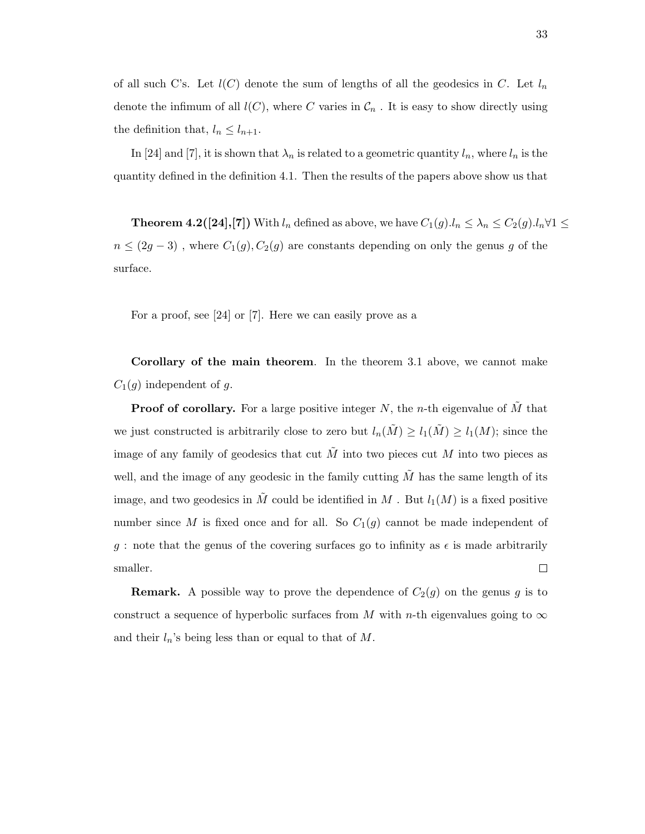of all such C's. Let  $l(C)$  denote the sum of lengths of all the geodesics in C. Let  $l_n$ denote the infimum of all  $l(C)$ , where C varies in  $\mathcal{C}_n$ . It is easy to show directly using the definition that,  $l_n \leq l_{n+1}$ .

In [24] and [7], it is shown that  $\lambda_n$  is related to a geometric quantity  $l_n$ , where  $l_n$  is the quantity defined in the definition 4.1. Then the results of the papers above show us that

**Theorem 4.2([24],[7])** With  $l_n$  defined as above, we have  $C_1(g) \cdot l_n \leq \lambda_n \leq C_2(g) \cdot l_n \forall 1 \leq$  $n \leq (2g-3)$ , where  $C_1(g), C_2(g)$  are constants depending on only the genus g of the surface.

For a proof, see [24] or [7]. Here we can easily prove as a

Corollary of the main theorem. In the theorem 3.1 above, we cannot make  $C_1(g)$  independent of g.

**Proof of corollary.** For a large positive integer N, the n-th eigenvalue of  $\tilde{M}$  that we just constructed is arbitrarily close to zero but  $l_n(\tilde{M}) \geq l_1(\tilde{M}) \geq l_1(M)$ ; since the image of any family of geodesics that cut  $\tilde{M}$  into two pieces cut  $M$  into two pieces as well, and the image of any geodesic in the family cutting  $\tilde{M}$  has the same length of its image, and two geodesics in  $\tilde{M}$  could be identified in  $M$  . But  $l_1(M)$  is a fixed positive number since M is fixed once and for all. So  $C_1(g)$  cannot be made independent of q : note that the genus of the covering surfaces go to infinity as  $\epsilon$  is made arbitrarily smaller.  $\Box$ 

**Remark.** A possible way to prove the dependence of  $C_2(g)$  on the genus g is to construct a sequence of hyperbolic surfaces from M with n-th eigenvalues going to  $\infty$ and their  $l_n$ 's being less than or equal to that of M.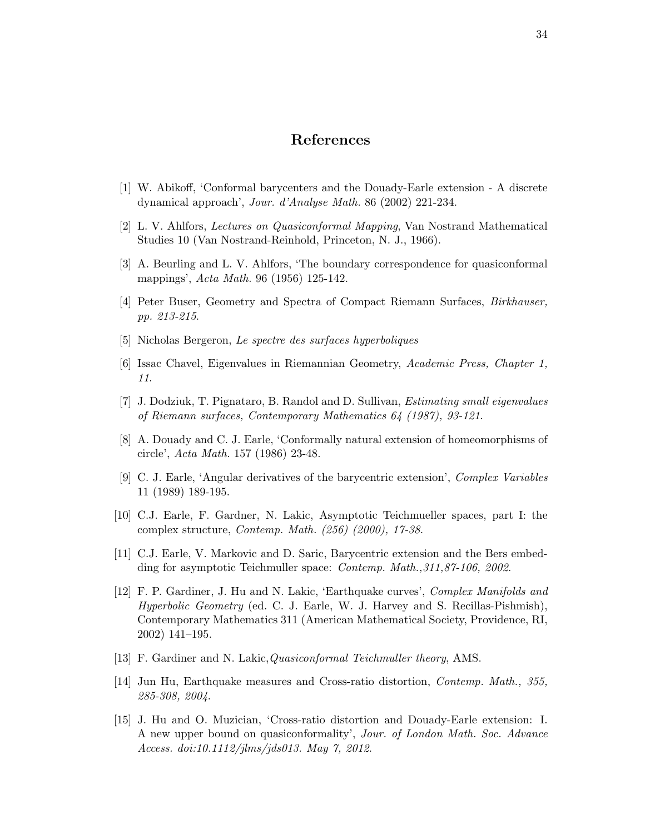## References

- [1] W. Abikoff, 'Conformal barycenters and the Douady-Earle extension A discrete dynamical approach', Jour. d'Analyse Math. 86 (2002) 221-234.
- [2] L. V. Ahlfors, Lectures on Quasiconformal Mapping, Van Nostrand Mathematical Studies 10 (Van Nostrand-Reinhold, Princeton, N. J., 1966).
- [3] A. Beurling and L. V. Ahlfors, 'The boundary correspondence for quasiconformal mappings', Acta Math. 96 (1956) 125-142.
- [4] Peter Buser, Geometry and Spectra of Compact Riemann Surfaces, Birkhauser, pp. 213-215.
- [5] Nicholas Bergeron, Le spectre des surfaces hyperboliques
- [6] Issac Chavel, Eigenvalues in Riemannian Geometry, Academic Press, Chapter 1, 11.
- [7] J. Dodziuk, T. Pignataro, B. Randol and D. Sullivan, Estimating small eigenvalues of Riemann surfaces, Contemporary Mathematics 64 (1987), 93-121.
- [8] A. Douady and C. J. Earle, 'Conformally natural extension of homeomorphisms of circle', Acta Math. 157 (1986) 23-48.
- [9] C. J. Earle, 'Angular derivatives of the barycentric extension', Complex Variables 11 (1989) 189-195.
- [10] C.J. Earle, F. Gardner, N. Lakic, Asymptotic Teichmueller spaces, part I: the complex structure, Contemp. Math. (256) (2000), 17-38.
- [11] C.J. Earle, V. Markovic and D. Saric, Barycentric extension and the Bers embedding for asymptotic Teichmuller space: Contemp. Math.,311,87-106, 2002.
- [12] F. P. Gardiner, J. Hu and N. Lakic, 'Earthquake curves', Complex Manifolds and Hyperbolic Geometry (ed. C. J. Earle, W. J. Harvey and S. Recillas-Pishmish), Contemporary Mathematics 311 (American Mathematical Society, Providence, RI, 2002) 141–195.
- [13] F. Gardiner and N. Lakic, *Quasiconformal Teichmuller theory*, AMS.
- [14] Jun Hu, Earthquake measures and Cross-ratio distortion, Contemp. Math., 355, 285-308, 2004.
- [15] J. Hu and O. Muzician, 'Cross-ratio distortion and Douady-Earle extension: I. A new upper bound on quasiconformality', Jour. of London Math. Soc. Advance Access. doi:10.1112/jlms/jds013. May 7, 2012.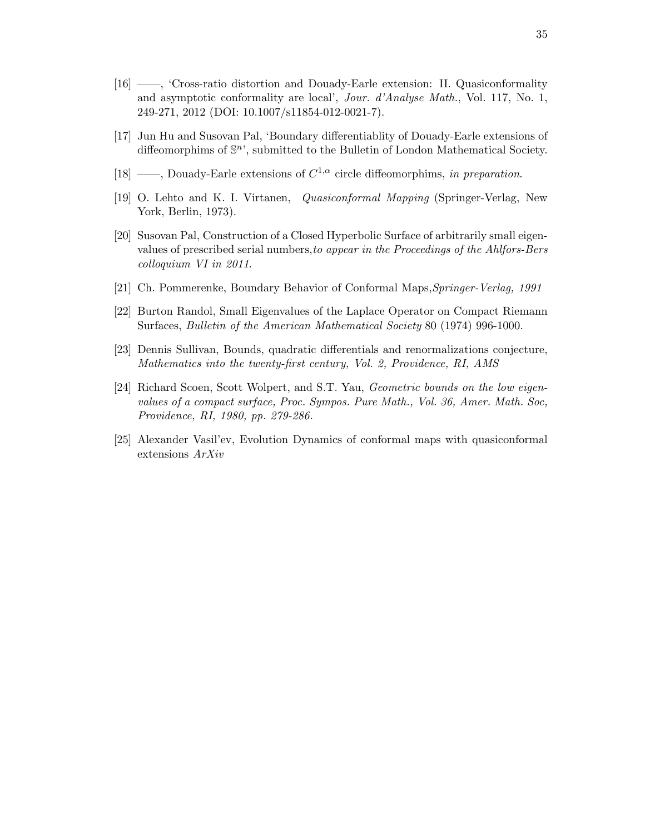- [16] ——, 'Cross-ratio distortion and Douady-Earle extension: II. Quasiconformality and asymptotic conformality are local', Jour. d'Analyse Math., Vol. 117, No. 1, 249-271, 2012 (DOI: 10.1007/s11854-012-0021-7).
- [17] Jun Hu and Susovan Pal, 'Boundary differentiablity of Douady-Earle extensions of diffeomorphims of  $\mathbb{S}^n$ ', submitted to the Bulletin of London Mathematical Society.
- [18] ——, Douady-Earle extensions of  $C^{1,\alpha}$  circle diffeomorphims, in preparation.
- [19] O. Lehto and K. I. Virtanen, Quasiconformal Mapping (Springer-Verlag, New York, Berlin, 1973).
- [20] Susovan Pal, Construction of a Closed Hyperbolic Surface of arbitrarily small eigenvalues of prescribed serial numbers,to appear in the Proceedings of the Ahlfors-Bers colloquium VI in 2011.
- [21] Ch. Pommerenke, Boundary Behavior of Conformal Maps,Springer-Verlag, 1991
- [22] Burton Randol, Small Eigenvalues of the Laplace Operator on Compact Riemann Surfaces, Bulletin of the American Mathematical Society 80 (1974) 996-1000.
- [23] Dennis Sullivan, Bounds, quadratic differentials and renormalizations conjecture, Mathematics into the twenty-first century, Vol. 2, Providence, RI, AMS
- [24] Richard Scoen, Scott Wolpert, and S.T. Yau, Geometric bounds on the low eigenvalues of a compact surface, Proc. Sympos. Pure Math., Vol. 36, Amer. Math. Soc, Providence, RI, 1980, pp. 279-286.
- [25] Alexander Vasil'ev, Evolution Dynamics of conformal maps with quasiconformal extensions ArXiv